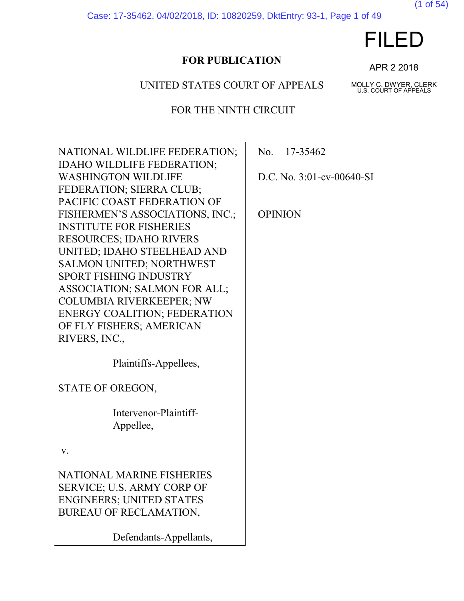Case: 17-35462, 04/02/2018, ID: 10820259, DktEntry: 93-1, Page 1 of 49

FILED

# **FOR PUBLICATION**

# UNITED STATES COURT OF APPEALS

# FOR THE NINTH CIRCUIT

| NATIONAL WILDLIFE FEDERATION;       | No.<br>17-35462           |
|-------------------------------------|---------------------------|
| <b>IDAHO WILDLIFE FEDERATION;</b>   |                           |
| <b>WASHINGTON WILDLIFE</b>          | D.C. No. 3:01-cv-00640-SI |
| FEDERATION; SIERRA CLUB;            |                           |
| PACIFIC COAST FEDERATION OF         |                           |
| FISHERMEN'S ASSOCIATIONS, INC.;     | <b>OPINION</b>            |
| <b>INSTITUTE FOR FISHERIES</b>      |                           |
| <b>RESOURCES; IDAHO RIVERS</b>      |                           |
| UNITED; IDAHO STEELHEAD AND         |                           |
| SALMON UNITED; NORTHWEST            |                           |
| <b>SPORT FISHING INDUSTRY</b>       |                           |
| ASSOCIATION; SALMON FOR ALL;        |                           |
| <b>COLUMBIA RIVERKEEPER; NW</b>     |                           |
| <b>ENERGY COALITION; FEDERATION</b> |                           |
| OF FLY FISHERS; AMERICAN            |                           |
| RIVERS, INC.,                       |                           |
|                                     |                           |
| Plaintiffs-Appellees,               |                           |
|                                     |                           |
| STATE OF OREGON,                    |                           |
|                                     |                           |
| Intervenor-Plaintiff-               |                           |
| Appellee,                           |                           |
|                                     |                           |
| V.                                  |                           |
| <b>NATIONAL MARINE FISHERIES</b>    |                           |
| <b>SERVICE; U.S. ARMY CORP OF</b>   |                           |
| <b>ENGINEERS; UNITED STATES</b>     |                           |
| BUREAU OF RECLAMATION,              |                           |
|                                     |                           |
| Defendants-Appellants,              |                           |

APR 2 2018

MOLLY C. DWYER, CLERK U.S. COURT OF APPEALS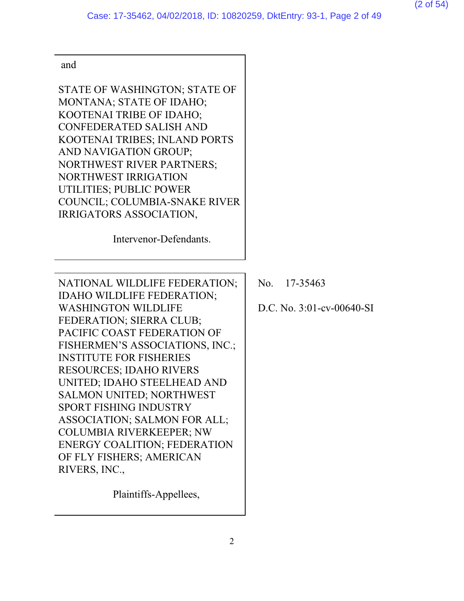and

STATE OF WASHINGTON; STATE OF MONTANA; STATE OF IDAHO; KOOTENAI TRIBE OF IDAHO; CONFEDERATED SALISH AND KOOTENAI TRIBES; INLAND PORTS AND NAVIGATION GROUP; NORTHWEST RIVER PARTNERS; NORTHWEST IRRIGATION UTILITIES; PUBLIC POWER COUNCIL; COLUMBIA-SNAKE RIVER IRRIGATORS ASSOCIATION,

Intervenor-Defendants.

NATIONAL WILDLIFE FEDERATION; IDAHO WILDLIFE FEDERATION; WASHINGTON WILDLIFE FEDERATION; SIERRA CLUB; PACIFIC COAST FEDERATION OF FISHERMEN'S ASSOCIATIONS, INC.; INSTITUTE FOR FISHERIES RESOURCES; IDAHO RIVERS UNITED; IDAHO STEELHEAD AND SALMON UNITED; NORTHWEST SPORT FISHING INDUSTRY ASSOCIATION; SALMON FOR ALL; COLUMBIA RIVERKEEPER; NW ENERGY COALITION; FEDERATION OF FLY FISHERS; AMERICAN RIVERS, INC.,

Plaintiffs-Appellees,

No. 17-35463

D.C. No. 3:01-cv-00640-SI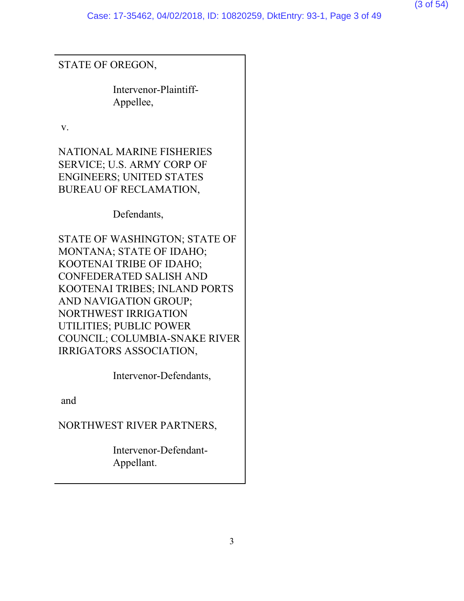STATE OF OREGON,

Intervenor-Plaintiff-Appellee,

v.

NATIONAL MARINE FISHERIES SERVICE; U.S. ARMY CORP OF ENGINEERS; UNITED STATES BUREAU OF RECLAMATION,

Defendants,

STATE OF WASHINGTON; STATE OF MONTANA; STATE OF IDAHO; KOOTENAI TRIBE OF IDAHO; CONFEDERATED SALISH AND KOOTENAI TRIBES; INLAND PORTS AND NAVIGATION GROUP; NORTHWEST IRRIGATION UTILITIES; PUBLIC POWER COUNCIL; COLUMBIA-SNAKE RIVER IRRIGATORS ASSOCIATION,

Intervenor-Defendants,

and

NORTHWEST RIVER PARTNERS,

Intervenor-Defendant-Appellant.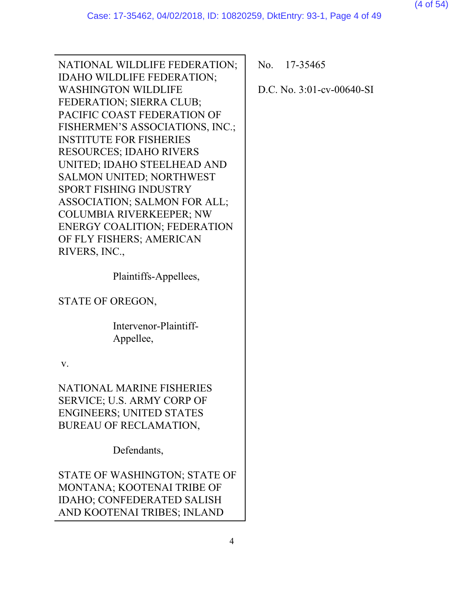| NATIONAL WILDLIFE FEDERATION;                                 | No. | 17-35465                  |
|---------------------------------------------------------------|-----|---------------------------|
| <b>IDAHO WILDLIFE FEDERATION;</b>                             |     | D.C. No. 3:01-cv-00640-SI |
| <b>WASHINGTON WILDLIFE</b><br>FEDERATION; SIERRA CLUB;        |     |                           |
| PACIFIC COAST FEDERATION OF                                   |     |                           |
| FISHERMEN'S ASSOCIATIONS, INC.;                               |     |                           |
| <b>INSTITUTE FOR FISHERIES</b>                                |     |                           |
| <b>RESOURCES; IDAHO RIVERS</b>                                |     |                           |
| UNITED; IDAHO STEELHEAD AND                                   |     |                           |
| SALMON UNITED; NORTHWEST                                      |     |                           |
| <b>SPORT FISHING INDUSTRY</b><br>ASSOCIATION; SALMON FOR ALL; |     |                           |
| <b>COLUMBIA RIVERKEEPER; NW</b>                               |     |                           |
| <b>ENERGY COALITION; FEDERATION</b>                           |     |                           |
| OF FLY FISHERS; AMERICAN                                      |     |                           |
| RIVERS, INC.,                                                 |     |                           |
| Plaintiffs-Appellees,                                         |     |                           |
|                                                               |     |                           |
| STATE OF OREGON,                                              |     |                           |
| Intervenor-Plaintiff-                                         |     |                           |
| Appellee,                                                     |     |                           |
|                                                               |     |                           |
| V.                                                            |     |                           |
| NATIONAL MARINE FISHERIES                                     |     |                           |
| <b>SERVICE: U.S. ARMY CORP OF</b>                             |     |                           |
| <b>ENGINEERS; UNITED STATES</b>                               |     |                           |
| BUREAU OF RECLAMATION,                                        |     |                           |
| Defendants,                                                   |     |                           |
|                                                               |     |                           |
| STATE OF WASHINGTON; STATE OF<br>MONTANA; KOOTENAI TRIBE OF   |     |                           |
| <b>IDAHO; CONFEDERATED SALISH</b>                             |     |                           |
| AND KOOTENAI TRIBES; INLAND                                   |     |                           |
|                                                               |     |                           |
|                                                               |     |                           |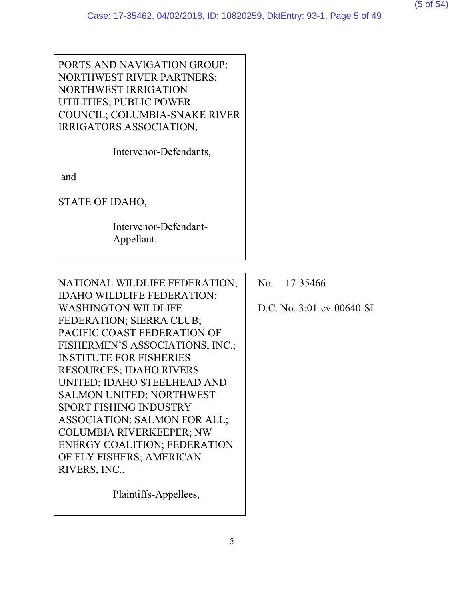PORTS AND NAVIGATION GROUP; NORTHWEST RIVER PARTNERS; NORTHWEST IRRIGATION UTILITIES; PUBLIC POWER COUNCIL; COLUMBIA-SNAKE RIVER IRRIGATORS ASSOCIATION,

Intervenor-Defendants,

and

STATE OF IDAHO,

Intervenor-Defendant-Appellant.

NATIONAL WILDLIFE FEDERATION; IDAHO WILDLIFE FEDERATION; WASHINGTON WILDLIFE FEDERATION; SIERRA CLUB; PACIFIC COAST FEDERATION OF FISHERMEN'S ASSOCIATIONS, INC.; INSTITUTE FOR FISHERIES RESOURCES; IDAHO RIVERS UNITED; IDAHO STEELHEAD AND SALMON UNITED; NORTHWEST SPORT FISHING INDUSTRY ASSOCIATION; SALMON FOR ALL; COLUMBIA RIVERKEEPER; NW ENERGY COALITION; FEDERATION OF FLY FISHERS; AMERICAN RIVERS, INC.,

Plaintiffs-Appellees,

No. 17-35466

D.C. No. 3:01-cv-00640-SI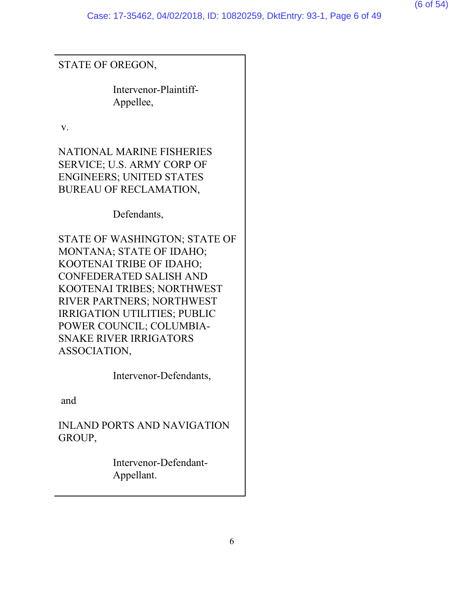STATE OF OREGON,

Intervenor-Plaintiff-Appellee,

v.

NATIONAL MARINE FISHERIES SERVICE; U.S. ARMY CORP OF ENGINEERS; UNITED STATES BUREAU OF RECLAMATION,

Defendants,

STATE OF WASHINGTON; STATE OF MONTANA; STATE OF IDAHO; KOOTENAI TRIBE OF IDAHO; CONFEDERATED SALISH AND KOOTENAI TRIBES; NORTHWEST RIVER PARTNERS; NORTHWEST IRRIGATION UTILITIES; PUBLIC POWER COUNCIL; COLUMBIA-SNAKE RIVER IRRIGATORS ASSOCIATION,

Intervenor-Defendants,

and

INLAND PORTS AND NAVIGATION GROUP,

> Intervenor-Defendant-Appellant.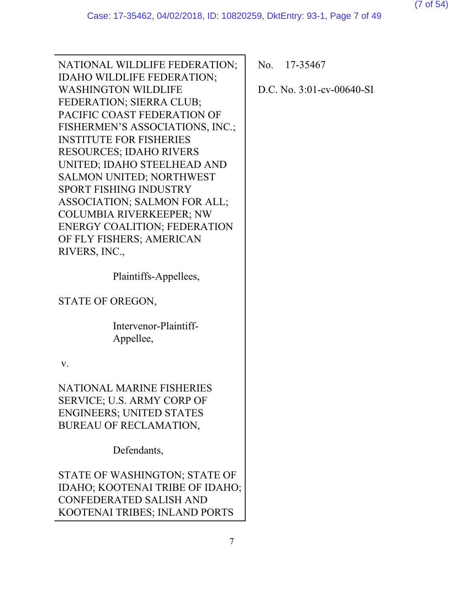| NATIONAL WILDLIFE FEDERATION;                                   | No.<br>17-35467              |
|-----------------------------------------------------------------|------------------------------|
| IDAHO WILDLIFE FEDERATION;<br><b>WASHINGTON WILDLIFE</b>        | D.C. No. $3:01$ -cv-00640-SI |
| FEDERATION; SIERRA CLUB;                                        |                              |
| PACIFIC COAST FEDERATION OF                                     |                              |
| FISHERMEN'S ASSOCIATIONS, INC.;                                 |                              |
| <b>INSTITUTE FOR FISHERIES</b>                                  |                              |
| <b>RESOURCES; IDAHO RIVERS</b>                                  |                              |
| UNITED; IDAHO STEELHEAD AND                                     |                              |
| SALMON UNITED; NORTHWEST                                        |                              |
| <b>SPORT FISHING INDUSTRY</b>                                   |                              |
| ASSOCIATION; SALMON FOR ALL;                                    |                              |
| <b>COLUMBIA RIVERKEEPER; NW</b>                                 |                              |
| <b>ENERGY COALITION; FEDERATION</b><br>OF FLY FISHERS; AMERICAN |                              |
| RIVERS, INC.,                                                   |                              |
|                                                                 |                              |
| Plaintiffs-Appellees,                                           |                              |
| STATE OF OREGON,                                                |                              |
| Intervenor-Plaintiff-                                           |                              |
| Appellee,                                                       |                              |
| V.                                                              |                              |
|                                                                 |                              |
| NATIONAL MARINE FISHERIES                                       |                              |
| <b>SERVICE; U.S. ARMY CORP OF</b>                               |                              |
| <b>ENGINEERS; UNITED STATES</b><br>BUREAU OF RECLAMATION,       |                              |
|                                                                 |                              |
| Defendants,                                                     |                              |
| STATE OF WASHINGTON; STATE OF                                   |                              |
| IDAHO; KOOTENAI TRIBE OF IDAHO;                                 |                              |
| <b>CONFEDERATED SALISH AND</b>                                  |                              |
| KOOTENAI TRIBES; INLAND PORTS                                   |                              |
|                                                                 |                              |
|                                                                 |                              |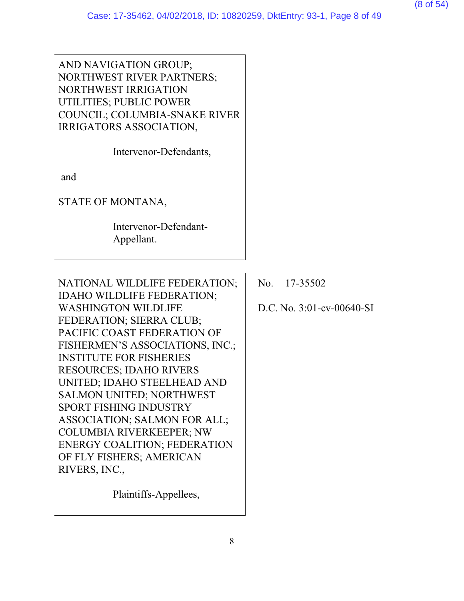AND NAVIGATION GROUP; NORTHWEST RIVER PARTNERS; NORTHWEST IRRIGATION UTILITIES; PUBLIC POWER COUNCIL; COLUMBIA-SNAKE RIVER IRRIGATORS ASSOCIATION,

Intervenor-Defendants,

and

STATE OF MONTANA,

Intervenor-Defendant-Appellant.

NATIONAL WILDLIFE FEDERATION; IDAHO WILDLIFE FEDERATION; WASHINGTON WILDLIFE FEDERATION; SIERRA CLUB; PACIFIC COAST FEDERATION OF FISHERMEN'S ASSOCIATIONS, INC.; INSTITUTE FOR FISHERIES RESOURCES; IDAHO RIVERS UNITED; IDAHO STEELHEAD AND SALMON UNITED; NORTHWEST SPORT FISHING INDUSTRY ASSOCIATION; SALMON FOR ALL; COLUMBIA RIVERKEEPER; NW ENERGY COALITION; FEDERATION OF FLY FISHERS; AMERICAN RIVERS, INC.,

Plaintiffs-Appellees,

No. 17-35502

D.C. No. 3:01-cv-00640-SI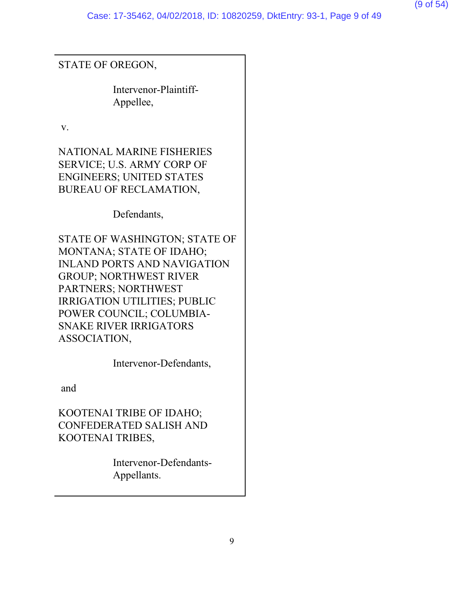STATE OF OREGON,

Intervenor-Plaintiff-Appellee,

v.

NATIONAL MARINE FISHERIES SERVICE; U.S. ARMY CORP OF ENGINEERS; UNITED STATES BUREAU OF RECLAMATION,

Defendants,

STATE OF WASHINGTON; STATE OF MONTANA; STATE OF IDAHO; INLAND PORTS AND NAVIGATION GROUP; NORTHWEST RIVER PARTNERS; NORTHWEST IRRIGATION UTILITIES; PUBLIC POWER COUNCIL; COLUMBIA-SNAKE RIVER IRRIGATORS ASSOCIATION,

Intervenor-Defendants,

and

KOOTENAI TRIBE OF IDAHO; CONFEDERATED SALISH AND KOOTENAI TRIBES,

> Intervenor-Defendants-Appellants.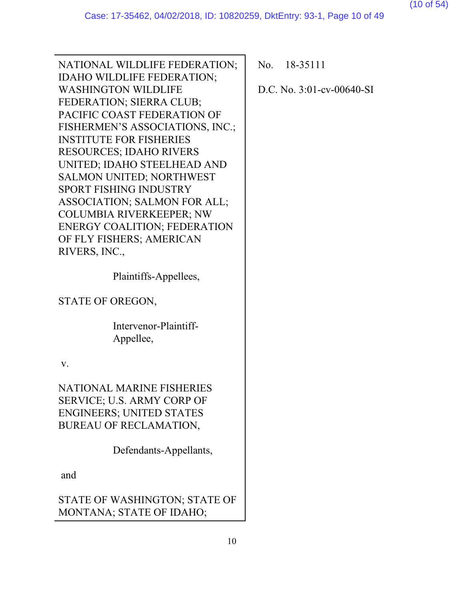### (10 of 54)

| NATIONAL WILDLIFE FEDERATION;                                    | No.<br>18-35111           |
|------------------------------------------------------------------|---------------------------|
| IDAHO WILDLIFE FEDERATION;                                       |                           |
| <b>WASHINGTON WILDLIFE</b>                                       | D.C. No. 3:01-cv-00640-SI |
| FEDERATION; SIERRA CLUB;                                         |                           |
| PACIFIC COAST FEDERATION OF                                      |                           |
| FISHERMEN'S ASSOCIATIONS, INC.;                                  |                           |
| <b>INSTITUTE FOR FISHERIES</b><br><b>RESOURCES; IDAHO RIVERS</b> |                           |
| UNITED; IDAHO STEELHEAD AND                                      |                           |
| SALMON UNITED; NORTHWEST                                         |                           |
| <b>SPORT FISHING INDUSTRY</b>                                    |                           |
| ASSOCIATION; SALMON FOR ALL;                                     |                           |
| <b>COLUMBIA RIVERKEEPER; NW</b>                                  |                           |
| <b>ENERGY COALITION; FEDERATION</b>                              |                           |
| OF FLY FISHERS; AMERICAN                                         |                           |
| RIVERS, INC.,                                                    |                           |
|                                                                  |                           |
| Plaintiffs-Appellees,                                            |                           |
| STATE OF OREGON,                                                 |                           |
|                                                                  |                           |
| Intervenor-Plaintiff-                                            |                           |
| Appellee,                                                        |                           |
| V.                                                               |                           |
|                                                                  |                           |
| NATIONAL MARINE FISHERIES                                        |                           |
| <b>SERVICE; U.S. ARMY CORP OF</b>                                |                           |
| <b>ENGINEERS; UNITED STATES</b>                                  |                           |
| BUREAU OF RECLAMATION,                                           |                           |
|                                                                  |                           |
| Defendants-Appellants,                                           |                           |
| and                                                              |                           |
|                                                                  |                           |
| STATE OF WASHINGTON; STATE OF                                    |                           |
| MONTANA; STATE OF IDAHO;                                         |                           |
|                                                                  |                           |
| 10                                                               |                           |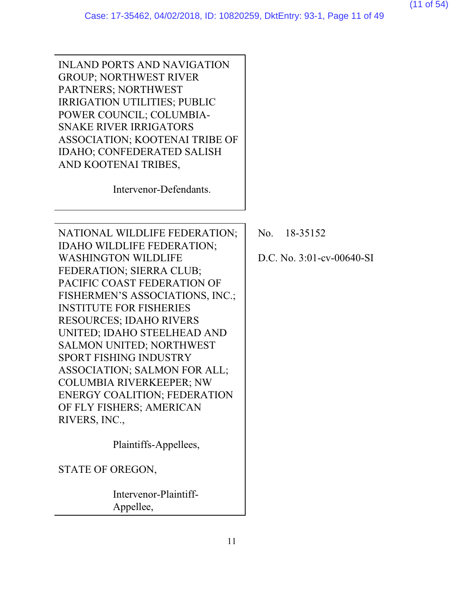| INLAND PORTS AND NAVIGATION<br><b>GROUP; NORTHWEST RIVER</b><br>PARTNERS; NORTHWEST<br><b>IRRIGATION UTILITIES; PUBLIC</b><br>POWER COUNCIL; COLUMBIA-<br><b>SNAKE RIVER IRRIGATORS</b><br>ASSOCIATION; KOOTENAI TRIBE OF<br><b>IDAHO; CONFEDERATED SALISH</b><br>AND KOOTENAI TRIBES,<br>Intervenor-Defendants. |                           |
|------------------------------------------------------------------------------------------------------------------------------------------------------------------------------------------------------------------------------------------------------------------------------------------------------------------|---------------------------|
|                                                                                                                                                                                                                                                                                                                  |                           |
| NATIONAL WILDLIFE FEDERATION;<br><b>IDAHO WILDLIFE FEDERATION;</b>                                                                                                                                                                                                                                               | 18-35152<br>No.           |
| <b>WASHINGTON WILDLIFE</b>                                                                                                                                                                                                                                                                                       | D.C. No. 3:01-cv-00640-SI |
| FEDERATION; SIERRA CLUB;                                                                                                                                                                                                                                                                                         |                           |
|                                                                                                                                                                                                                                                                                                                  |                           |
| PACIFIC COAST FEDERATION OF                                                                                                                                                                                                                                                                                      |                           |
| FISHERMEN'S ASSOCIATIONS, INC.;                                                                                                                                                                                                                                                                                  |                           |
| <b>INSTITUTE FOR FISHERIES</b>                                                                                                                                                                                                                                                                                   |                           |
| <b>RESOURCES; IDAHO RIVERS</b>                                                                                                                                                                                                                                                                                   |                           |
| UNITED; IDAHO STEELHEAD AND                                                                                                                                                                                                                                                                                      |                           |
| <b>SALMON UNITED; NORTHWEST</b>                                                                                                                                                                                                                                                                                  |                           |
| <b>SPORT FISHING INDUSTRY</b>                                                                                                                                                                                                                                                                                    |                           |
|                                                                                                                                                                                                                                                                                                                  |                           |
| ASSOCIATION; SALMON FOR ALL;                                                                                                                                                                                                                                                                                     |                           |
| <b>COLUMBIA RIVERKEEPER; NW</b>                                                                                                                                                                                                                                                                                  |                           |
| <b>ENERGY COALITION; FEDERATION</b>                                                                                                                                                                                                                                                                              |                           |
| OF FLY FISHERS; AMERICAN                                                                                                                                                                                                                                                                                         |                           |
| RIVERS, INC.,                                                                                                                                                                                                                                                                                                    |                           |
|                                                                                                                                                                                                                                                                                                                  |                           |
| Plaintiffs-Appellees,                                                                                                                                                                                                                                                                                            |                           |
|                                                                                                                                                                                                                                                                                                                  |                           |
| STATE OF OREGON,                                                                                                                                                                                                                                                                                                 |                           |
|                                                                                                                                                                                                                                                                                                                  |                           |
| Intervenor-Plaintiff-                                                                                                                                                                                                                                                                                            |                           |
| Appellee,                                                                                                                                                                                                                                                                                                        |                           |
|                                                                                                                                                                                                                                                                                                                  |                           |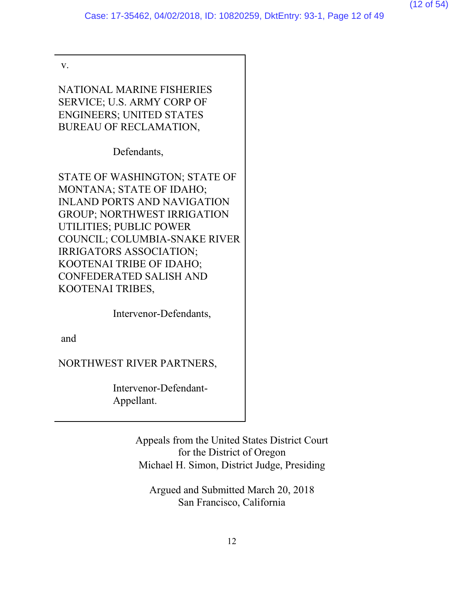v.

NATIONAL MARINE FISHERIES SERVICE; U.S. ARMY CORP OF ENGINEERS; UNITED STATES BUREAU OF RECLAMATION,

Defendants,

STATE OF WASHINGTON; STATE OF MONTANA; STATE OF IDAHO; INLAND PORTS AND NAVIGATION GROUP; NORTHWEST IRRIGATION UTILITIES; PUBLIC POWER COUNCIL; COLUMBIA-SNAKE RIVER IRRIGATORS ASSOCIATION; KOOTENAI TRIBE OF IDAHO; CONFEDERATED SALISH AND KOOTENAI TRIBES,

Intervenor-Defendants,

and

NORTHWEST RIVER PARTNERS,

Intervenor-Defendant-Appellant.

> Appeals from the United States District Court for the District of Oregon Michael H. Simon, District Judge, Presiding

Argued and Submitted March 20, 2018 San Francisco, California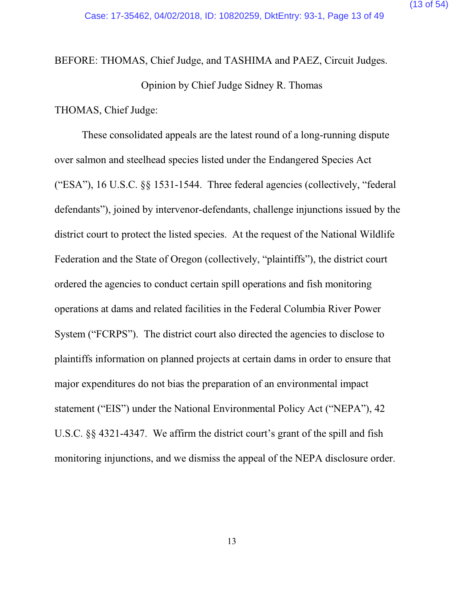# BEFORE: THOMAS, Chief Judge, and TASHIMA and PAEZ, Circuit Judges.

## Opinion by Chief Judge Sidney R. Thomas

## THOMAS, Chief Judge:

These consolidated appeals are the latest round of a long-running dispute over salmon and steelhead species listed under the Endangered Species Act ("ESA"), 16 U.S.C. §§ 1531-1544. Three federal agencies (collectively, "federal defendants"), joined by intervenor-defendants, challenge injunctions issued by the district court to protect the listed species. At the request of the National Wildlife Federation and the State of Oregon (collectively, "plaintiffs"), the district court ordered the agencies to conduct certain spill operations and fish monitoring operations at dams and related facilities in the Federal Columbia River Power System ("FCRPS"). The district court also directed the agencies to disclose to plaintiffs information on planned projects at certain dams in order to ensure that major expenditures do not bias the preparation of an environmental impact statement ("EIS") under the National Environmental Policy Act ("NEPA"), 42 U.S.C. §§ 4321-4347. We affirm the district court's grant of the spill and fish monitoring injunctions, and we dismiss the appeal of the NEPA disclosure order.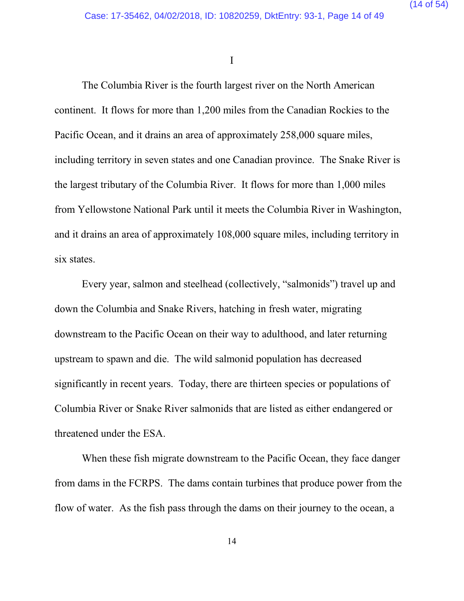I

The Columbia River is the fourth largest river on the North American continent. It flows for more than 1,200 miles from the Canadian Rockies to the Pacific Ocean, and it drains an area of approximately 258,000 square miles, including territory in seven states and one Canadian province. The Snake River is the largest tributary of the Columbia River. It flows for more than 1,000 miles from Yellowstone National Park until it meets the Columbia River in Washington, and it drains an area of approximately 108,000 square miles, including territory in six states.

Every year, salmon and steelhead (collectively, "salmonids") travel up and down the Columbia and Snake Rivers, hatching in fresh water, migrating downstream to the Pacific Ocean on their way to adulthood, and later returning upstream to spawn and die. The wild salmonid population has decreased significantly in recent years. Today, there are thirteen species or populations of Columbia River or Snake River salmonids that are listed as either endangered or threatened under the ESA.

When these fish migrate downstream to the Pacific Ocean, they face danger from dams in the FCRPS. The dams contain turbines that produce power from the flow of water. As the fish pass through the dams on their journey to the ocean, a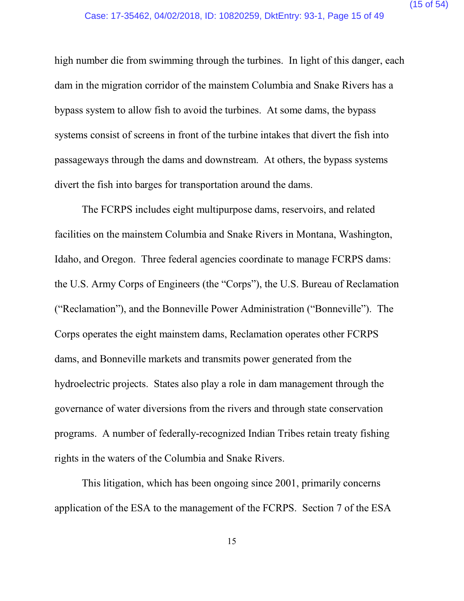high number die from swimming through the turbines. In light of this danger, each dam in the migration corridor of the mainstem Columbia and Snake Rivers has a bypass system to allow fish to avoid the turbines. At some dams, the bypass systems consist of screens in front of the turbine intakes that divert the fish into passageways through the dams and downstream. At others, the bypass systems divert the fish into barges for transportation around the dams.

The FCRPS includes eight multipurpose dams, reservoirs, and related facilities on the mainstem Columbia and Snake Rivers in Montana, Washington, Idaho, and Oregon. Three federal agencies coordinate to manage FCRPS dams: the U.S. Army Corps of Engineers (the "Corps"), the U.S. Bureau of Reclamation ("Reclamation"), and the Bonneville Power Administration ("Bonneville"). The Corps operates the eight mainstem dams, Reclamation operates other FCRPS dams, and Bonneville markets and transmits power generated from the hydroelectric projects. States also play a role in dam management through the governance of water diversions from the rivers and through state conservation programs. A number of federally-recognized Indian Tribes retain treaty fishing rights in the waters of the Columbia and Snake Rivers.

This litigation, which has been ongoing since 2001, primarily concerns application of the ESA to the management of the FCRPS. Section 7 of the ESA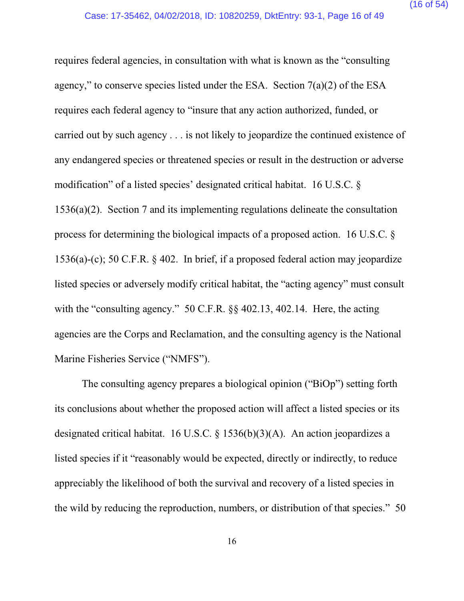requires federal agencies, in consultation with what is known as the "consulting agency," to conserve species listed under the ESA. Section  $7(a)(2)$  of the ESA requires each federal agency to "insure that any action authorized, funded, or carried out by such agency . . . is not likely to jeopardize the continued existence of any endangered species or threatened species or result in the destruction or adverse modification" of a listed species' designated critical habitat. 16 U.S.C. § 1536(a)(2). Section 7 and its implementing regulations delineate the consultation process for determining the biological impacts of a proposed action. 16 U.S.C. § 1536(a)-(c); 50 C.F.R. § 402. In brief, if a proposed federal action may jeopardize listed species or adversely modify critical habitat, the "acting agency" must consult with the "consulting agency." 50 C.F.R.  $\S$  402.13, 402.14. Here, the acting agencies are the Corps and Reclamation, and the consulting agency is the National Marine Fisheries Service ("NMFS").

The consulting agency prepares a biological opinion ("BiOp") setting forth its conclusions about whether the proposed action will affect a listed species or its designated critical habitat. 16 U.S.C. § 1536(b)(3)(A). An action jeopardizes a listed species if it "reasonably would be expected, directly or indirectly, to reduce appreciably the likelihood of both the survival and recovery of a listed species in the wild by reducing the reproduction, numbers, or distribution of that species." 50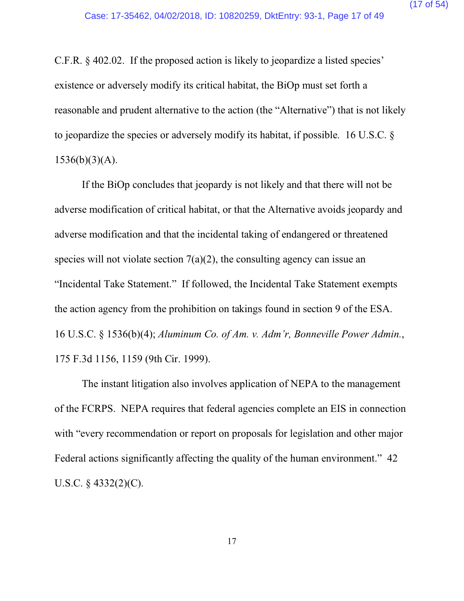C.F.R. § 402.02. If the proposed action is likely to jeopardize a listed species' existence or adversely modify its critical habitat, the BiOp must set forth a reasonable and prudent alternative to the action (the "Alternative") that is not likely to jeopardize the species or adversely modify its habitat, if possible. 16 U.S.C. §  $1536(b)(3)(A).$ 

If the BiOp concludes that jeopardy is not likely and that there will not be adverse modification of critical habitat, or that the Alternative avoids jeopardy and adverse modification and that the incidental taking of endangered or threatened species will not violate section  $7(a)(2)$ , the consulting agency can issue an "Incidental Take Statement." If followed, the Incidental Take Statement exempts the action agency from the prohibition on takings found in section 9 of the ESA. 16 U.S.C. § 1536(b)(4); *Aluminum Co. of Am. v. Adm'r, Bonneville Power Admin.*, 175 F.3d 1156, 1159 (9th Cir. 1999).

The instant litigation also involves application of NEPA to the management of the FCRPS. NEPA requires that federal agencies complete an EIS in connection with "every recommendation or report on proposals for legislation and other major Federal actions significantly affecting the quality of the human environment." 42 U.S.C. § 4332(2)(C).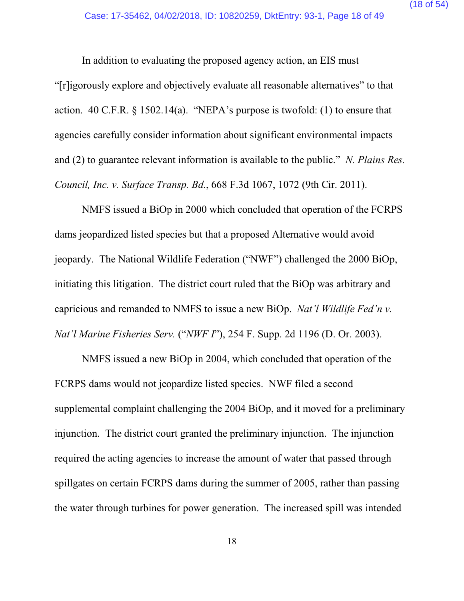In addition to evaluating the proposed agency action, an EIS must "[r]igorously explore and objectively evaluate all reasonable alternatives" to that action. 40 C.F.R. § 1502.14(a). "NEPA's purpose is twofold: (1) to ensure that agencies carefully consider information about significant environmental impacts and (2) to guarantee relevant information is available to the public." *N. Plains Res. Council, Inc. v. Surface Transp. Bd.*, 668 F.3d 1067, 1072 (9th Cir. 2011).

NMFS issued a BiOp in 2000 which concluded that operation of the FCRPS dams jeopardized listed species but that a proposed Alternative would avoid jeopardy. The National Wildlife Federation ("NWF") challenged the 2000 BiOp, initiating this litigation. The district court ruled that the BiOp was arbitrary and capricious and remanded to NMFS to issue a new BiOp. *Nat'l Wildlife Fed'n v. Nat'l Marine Fisheries Serv.* ("*NWF I*"), 254 F. Supp. 2d 1196 (D. Or. 2003).

NMFS issued a new BiOp in 2004, which concluded that operation of the FCRPS dams would not jeopardize listed species. NWF filed a second supplemental complaint challenging the 2004 BiOp, and it moved for a preliminary injunction. The district court granted the preliminary injunction. The injunction required the acting agencies to increase the amount of water that passed through spillgates on certain FCRPS dams during the summer of 2005, rather than passing the water through turbines for power generation. The increased spill was intended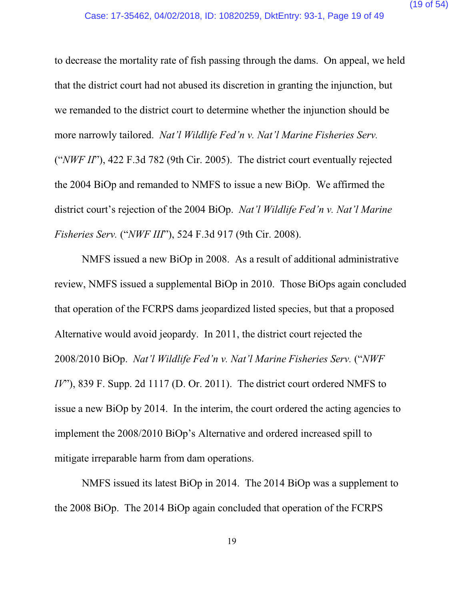to decrease the mortality rate of fish passing through the dams. On appeal, we held that the district court had not abused its discretion in granting the injunction, but we remanded to the district court to determine whether the injunction should be more narrowly tailored. *Nat'l Wildlife Fed'n v. Nat'l Marine Fisheries Serv.* ("*NWF II*"), 422 F.3d 782 (9th Cir. 2005). The district court eventually rejected the 2004 BiOp and remanded to NMFS to issue a new BiOp. We affirmed the district court's rejection of the 2004 BiOp. *Nat'l Wildlife Fed'n v. Nat'l Marine Fisheries Serv.* ("*NWF III*"), 524 F.3d 917 (9th Cir. 2008).

NMFS issued a new BiOp in 2008. As a result of additional administrative review, NMFS issued a supplemental BiOp in 2010. Those BiOps again concluded that operation of the FCRPS dams jeopardized listed species, but that a proposed Alternative would avoid jeopardy. In 2011, the district court rejected the 2008/2010 BiOp. *Nat'l Wildlife Fed'n v. Nat'l Marine Fisheries Serv.* ("*NWF IV*"), 839 F. Supp. 2d 1117 (D. Or. 2011). The district court ordered NMFS to issue a new BiOp by 2014. In the interim, the court ordered the acting agencies to implement the 2008/2010 BiOp's Alternative and ordered increased spill to mitigate irreparable harm from dam operations.

NMFS issued its latest BiOp in 2014. The 2014 BiOp was a supplement to the 2008 BiOp.The 2014 BiOp again concluded that operation of the FCRPS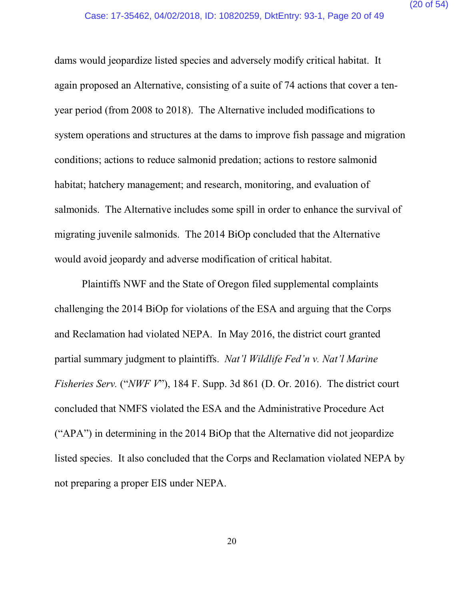dams would jeopardize listed species and adversely modify critical habitat. It again proposed an Alternative, consisting of a suite of 74 actions that cover a tenyear period (from 2008 to 2018). The Alternative included modifications to system operations and structures at the dams to improve fish passage and migration conditions; actions to reduce salmonid predation; actions to restore salmonid habitat; hatchery management; and research, monitoring, and evaluation of salmonids. The Alternative includes some spill in order to enhance the survival of migrating juvenile salmonids. The 2014 BiOp concluded that the Alternative would avoid jeopardy and adverse modification of critical habitat.

Plaintiffs NWF and the State of Oregon filed supplemental complaints challenging the 2014 BiOp for violations of the ESA and arguing that the Corps and Reclamation had violated NEPA. In May 2016, the district court granted partial summary judgment to plaintiffs. *Nat'l Wildlife Fed'n v. Nat'l Marine Fisheries Serv.* ("*NWF V*"), 184 F. Supp. 3d 861 (D. Or. 2016). The district court concluded that NMFS violated the ESA and the Administrative Procedure Act ("APA") in determining in the 2014 BiOp that the Alternative did not jeopardize listed species. It also concluded that the Corps and Reclamation violated NEPA by not preparing a proper EIS under NEPA.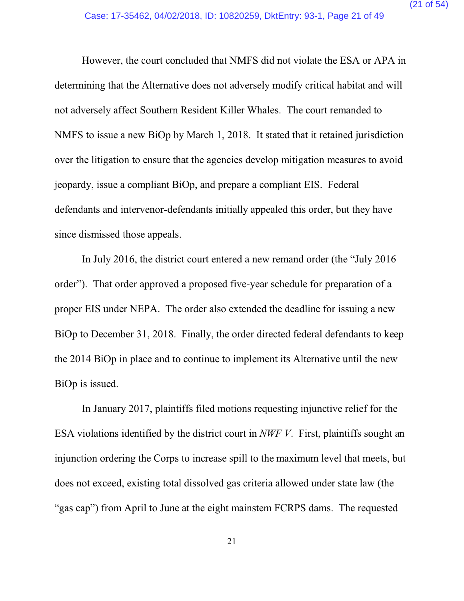However, the court concluded that NMFS did not violate the ESA or APA in determining that the Alternative does not adversely modify critical habitat and will not adversely affect Southern Resident Killer Whales. The court remanded to NMFS to issue a new BiOp by March 1, 2018. It stated that it retained jurisdiction over the litigation to ensure that the agencies develop mitigation measures to avoid jeopardy, issue a compliant BiOp, and prepare a compliant EIS. Federal defendants and intervenor-defendants initially appealed this order, but they have since dismissed those appeals.

In July 2016, the district court entered a new remand order (the "July 2016 order"). That order approved a proposed five-year schedule for preparation of a proper EIS under NEPA. The order also extended the deadline for issuing a new BiOp to December 31, 2018. Finally, the order directed federal defendants to keep the 2014 BiOp in place and to continue to implement its Alternative until the new BiOp is issued.

In January 2017, plaintiffs filed motions requesting injunctive relief for the ESA violations identified by the district court in *NWF V*. First, plaintiffs sought an injunction ordering the Corps to increase spill to the maximum level that meets, but does not exceed, existing total dissolved gas criteria allowed under state law (the "gas cap") from April to June at the eight mainstem FCRPS dams. The requested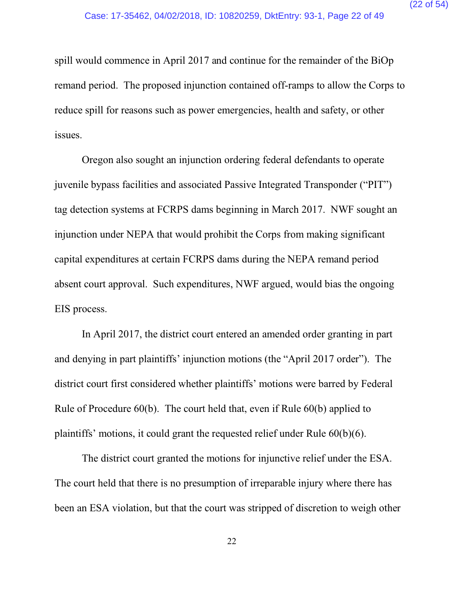spill would commence in April 2017 and continue for the remainder of the BiOp remand period. The proposed injunction contained off-ramps to allow the Corps to reduce spill for reasons such as power emergencies, health and safety, or other issues.

Oregon also sought an injunction ordering federal defendants to operate juvenile bypass facilities and associated Passive Integrated Transponder ("PIT") tag detection systems at FCRPS dams beginning in March 2017. NWF sought an injunction under NEPA that would prohibit the Corps from making significant capital expenditures at certain FCRPS dams during the NEPA remand period absent court approval. Such expenditures, NWF argued, would bias the ongoing EIS process.

In April 2017, the district court entered an amended order granting in part and denying in part plaintiffs' injunction motions (the "April 2017 order"). The district court first considered whether plaintiffs' motions were barred by Federal Rule of Procedure 60(b). The court held that, even if Rule 60(b) applied to plaintiffs' motions, it could grant the requested relief under Rule 60(b)(6).

The district court granted the motions for injunctive relief under the ESA. The court held that there is no presumption of irreparable injury where there has been an ESA violation, but that the court was stripped of discretion to weigh other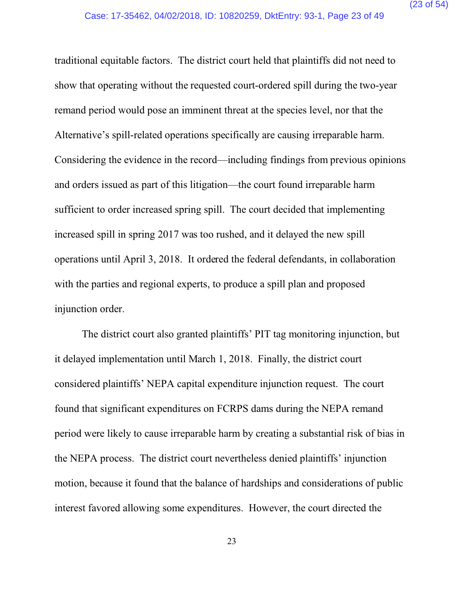traditional equitable factors. The district court held that plaintiffs did not need to show that operating without the requested court-ordered spill during the two-year remand period would pose an imminent threat at the species level, nor that the Alternative's spill-related operations specifically are causing irreparable harm. Considering the evidence in the record—including findings from previous opinions and orders issued as part of this litigation—the court found irreparable harm sufficient to order increased spring spill.The court decided that implementing increased spill in spring 2017 was too rushed, and it delayed the new spill operations until April 3, 2018. It ordered the federal defendants, in collaboration with the parties and regional experts, to produce a spill plan and proposed injunction order.

The district court also granted plaintiffs' PIT tag monitoring injunction, but it delayed implementation until March 1, 2018. Finally, the district court considered plaintiffs' NEPA capital expenditure injunction request. The court found that significant expenditures on FCRPS dams during the NEPA remand period were likely to cause irreparable harm by creating a substantial risk of bias in the NEPA process. The district court nevertheless denied plaintiffs' injunction motion, because it found that the balance of hardships and considerations of public interest favored allowing some expenditures. However, the court directed the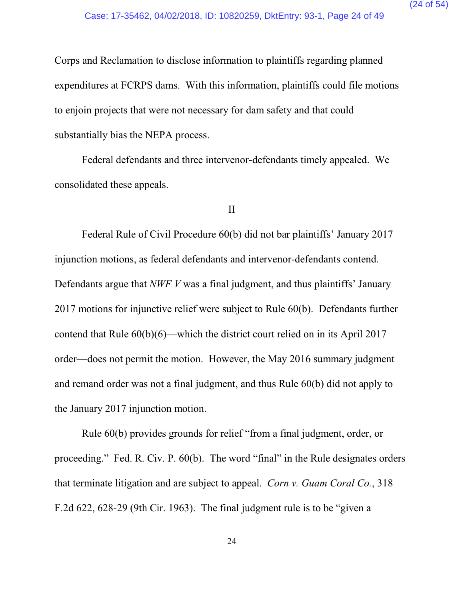Corps and Reclamation to disclose information to plaintiffs regarding planned expenditures at FCRPS dams. With this information, plaintiffs could file motions to enjoin projects that were not necessary for dam safety and that could substantially bias the NEPA process.

Federal defendants and three intervenor-defendants timely appealed. We consolidated these appeals.

### II

Federal Rule of Civil Procedure 60(b) did not bar plaintiffs' January 2017 injunction motions, as federal defendants and intervenor-defendants contend. Defendants argue that *NWF V* was a final judgment, and thus plaintiffs' January 2017 motions for injunctive relief were subject to Rule 60(b). Defendants further contend that Rule 60(b)(6)—which the district court relied on in its April 2017 order—does not permit the motion. However, the May 2016 summary judgment and remand order was not a final judgment, and thus Rule 60(b) did not apply to the January 2017 injunction motion.

Rule 60(b) provides grounds for relief "from a final judgment, order, or proceeding." Fed. R. Civ. P. 60(b). The word "final" in the Rule designates orders that terminate litigation and are subject to appeal. *Corn v. Guam Coral Co.*, 318 F.2d 622, 628-29 (9th Cir. 1963). The final judgment rule is to be "given a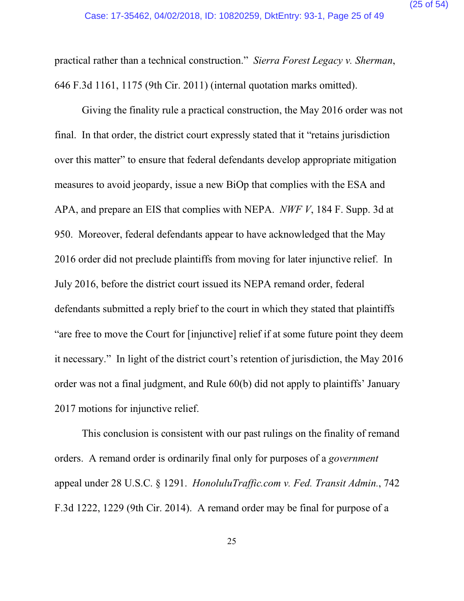practical rather than a technical construction." *Sierra Forest Legacy v. Sherman*, 646 F.3d 1161, 1175 (9th Cir. 2011) (internal quotation marks omitted).

Giving the finality rule a practical construction, the May 2016 order was not final. In that order, the district court expressly stated that it "retains jurisdiction over this matter" to ensure that federal defendants develop appropriate mitigation measures to avoid jeopardy, issue a new BiOp that complies with the ESA and APA, and prepare an EIS that complies with NEPA. *NWF V*, 184 F. Supp. 3d at 950. Moreover, federal defendants appear to have acknowledged that the May 2016 order did not preclude plaintiffs from moving for later injunctive relief. In July 2016, before the district court issued its NEPA remand order, federal defendants submitted a reply brief to the court in which they stated that plaintiffs "are free to move the Court for [injunctive] relief if at some future point they deem it necessary." In light of the district court's retention of jurisdiction, the May 2016 order was not a final judgment, and Rule 60(b) did not apply to plaintiffs' January 2017 motions for injunctive relief.

This conclusion is consistent with our past rulings on the finality of remand orders. A remand order is ordinarily final only for purposes of a *government* appeal under 28 U.S.C. § 1291. *HonoluluTraffic.com v. Fed. Transit Admin.*, 742 F.3d 1222, 1229 (9th Cir. 2014). A remand order may be final for purpose of a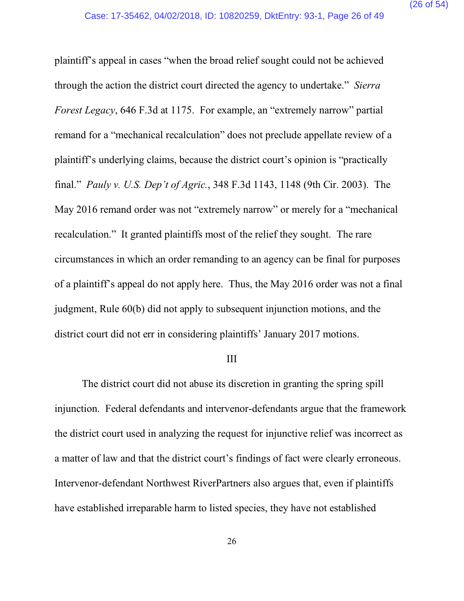plaintiff's appeal in cases "when the broad relief sought could not be achieved through the action the district court directed the agency to undertake." *Sierra Forest Legacy*, 646 F.3d at 1175. For example, an "extremely narrow" partial remand for a "mechanical recalculation" does not preclude appellate review of a plaintiff's underlying claims, because the district court's opinion is "practically final." *Pauly v. U.S. Dep't of Agric.*, 348 F.3d 1143, 1148 (9th Cir. 2003). The May 2016 remand order was not "extremely narrow" or merely for a "mechanical recalculation." It granted plaintiffs most of the relief they sought. The rare circumstances in which an order remanding to an agency can be final for purposes of a plaintiff's appeal do not apply here. Thus, the May 2016 order was not a final judgment, Rule 60(b) did not apply to subsequent injunction motions, and the district court did not err in considering plaintiffs' January 2017 motions.

#### III

The district court did not abuse its discretion in granting the spring spill injunction. Federal defendants and intervenor-defendants argue that the framework the district court used in analyzing the request for injunctive relief was incorrect as a matter of law and that the district court's findings of fact were clearly erroneous. Intervenor-defendant Northwest RiverPartners also argues that, even if plaintiffs have established irreparable harm to listed species, they have not established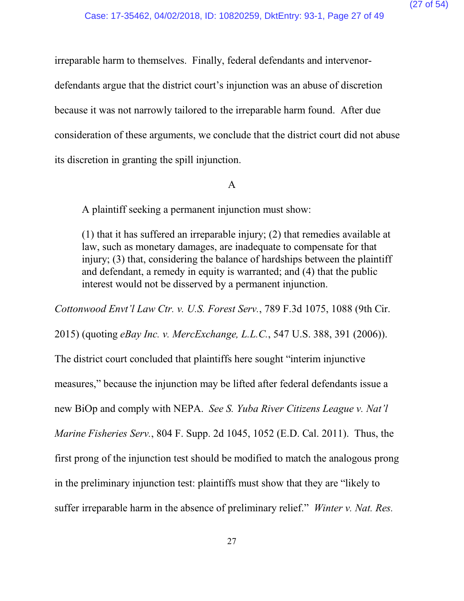irreparable harm to themselves. Finally, federal defendants and intervenordefendants argue that the district court's injunction was an abuse of discretion because it was not narrowly tailored to the irreparable harm found. After due consideration of these arguments, we conclude that the district court did not abuse its discretion in granting the spill injunction.

## A

A plaintiff seeking a permanent injunction must show:

(1) that it has suffered an irreparable injury; (2) that remedies available at law, such as monetary damages, are inadequate to compensate for that injury; (3) that, considering the balance of hardships between the plaintiff and defendant, a remedy in equity is warranted; and (4) that the public interest would not be disserved by a permanent injunction.

*Cottonwood Envt'l Law Ctr. v. U.S. Forest Serv.*, 789 F.3d 1075, 1088 (9th Cir.

2015) (quoting *eBay Inc. v. MercExchange, L.L.C.*, 547 U.S. 388, 391 (2006)).

The district court concluded that plaintiffs here sought "interim injunctive measures," because the injunction may be lifted after federal defendants issue a new BiOp and comply with NEPA. *See S. Yuba River Citizens League v. Nat'l Marine Fisheries Serv.*, 804 F. Supp. 2d 1045, 1052 (E.D. Cal. 2011). Thus, the first prong of the injunction test should be modified to match the analogous prong in the preliminary injunction test: plaintiffs must show that they are "likely to suffer irreparable harm in the absence of preliminary relief." *Winter v. Nat. Res.*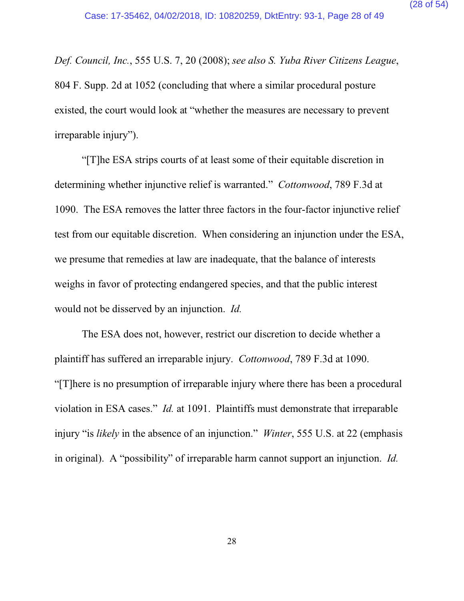*Def. Council, Inc.*, 555 U.S. 7, 20 (2008); *see also S. Yuba River Citizens League*, 804 F. Supp. 2d at 1052 (concluding that where a similar procedural posture existed, the court would look at "whether the measures are necessary to prevent irreparable injury").

"[T]he ESA strips courts of at least some of their equitable discretion in determining whether injunctive relief is warranted." *Cottonwood*, 789 F.3d at 1090. The ESA removes the latter three factors in the four-factor injunctive relief test from our equitable discretion. When considering an injunction under the ESA, we presume that remedies at law are inadequate, that the balance of interests weighs in favor of protecting endangered species, and that the public interest would not be disserved by an injunction. *Id.*

The ESA does not, however, restrict our discretion to decide whether a plaintiff has suffered an irreparable injury. *Cottonwood*, 789 F.3d at 1090. "[T]here is no presumption of irreparable injury where there has been a procedural violation in ESA cases." *Id.* at 1091. Plaintiffs must demonstrate that irreparable injury "is *likely* in the absence of an injunction." *Winter*, 555 U.S. at 22 (emphasis in original). A "possibility" of irreparable harm cannot support an injunction. *Id.*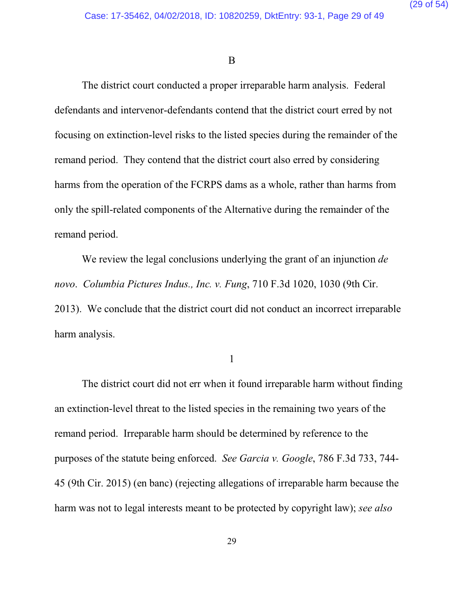B

The district court conducted a proper irreparable harm analysis. Federal defendants and intervenor-defendants contend that the district court erred by not focusing on extinction-level risks to the listed species during the remainder of the remand period. They contend that the district court also erred by considering harms from the operation of the FCRPS dams as a whole, rather than harms from only the spill-related components of the Alternative during the remainder of the remand period.

We review the legal conclusions underlying the grant of an injunction *de novo*. *Columbia Pictures Indus., Inc. v. Fung*, 710 F.3d 1020, 1030 (9th Cir. 2013). We conclude that the district court did not conduct an incorrect irreparable harm analysis.

1

The district court did not err when it found irreparable harm without finding an extinction-level threat to the listed species in the remaining two years of the remand period. Irreparable harm should be determined by reference to the purposes of the statute being enforced. *See Garcia v. Google*, 786 F.3d 733, 744- 45 (9th Cir. 2015) (en banc) (rejecting allegations of irreparable harm because the harm was not to legal interests meant to be protected by copyright law); *see also*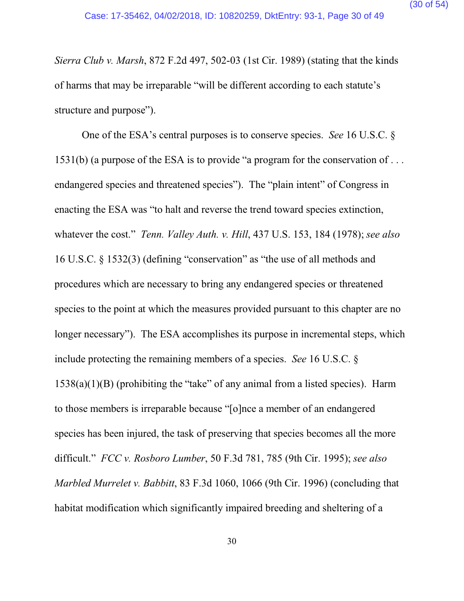*Sierra Club v. Marsh*, 872 F.2d 497, 502-03 (1st Cir. 1989) (stating that the kinds of harms that may be irreparable "will be different according to each statute's structure and purpose").

One of the ESA's central purposes is to conserve species. *See* 16 U.S.C. § 1531(b) (a purpose of the ESA is to provide "a program for the conservation of . . . endangered species and threatened species"). The "plain intent" of Congress in enacting the ESA was "to halt and reverse the trend toward species extinction, whatever the cost." *Tenn. Valley Auth. v. Hill*, 437 U.S. 153, 184 (1978); *see also* 16 U.S.C. § 1532(3) (defining "conservation" as "the use of all methods and procedures which are necessary to bring any endangered species or threatened species to the point at which the measures provided pursuant to this chapter are no longer necessary"). The ESA accomplishes its purpose in incremental steps, which include protecting the remaining members of a species. *See* 16 U.S.C. § 1538(a)(1)(B) (prohibiting the "take" of any animal from a listed species). Harm to those members is irreparable because "[o]nce a member of an endangered species has been injured, the task of preserving that species becomes all the more difficult." *FCC v. Rosboro Lumber*, 50 F.3d 781, 785 (9th Cir. 1995); *see also Marbled Murrelet v. Babbitt*, 83 F.3d 1060, 1066 (9th Cir. 1996) (concluding that habitat modification which significantly impaired breeding and sheltering of a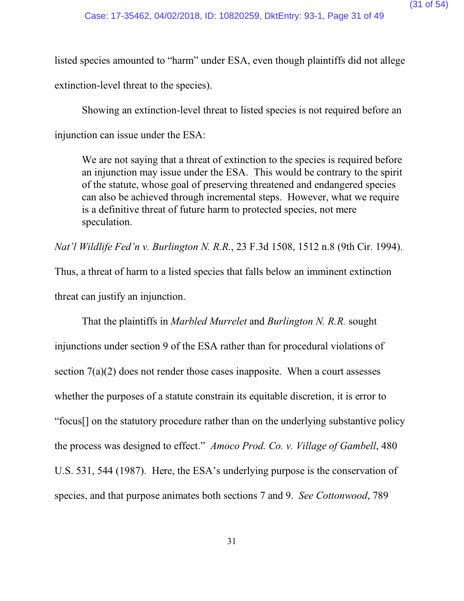listed species amounted to "harm" under ESA, even though plaintiffs did not allege extinction-level threat to the species).

Showing an extinction-level threat to listed species is not required before an injunction can issue under the ESA:

We are not saying that a threat of extinction to the species is required before an injunction may issue under the ESA. This would be contrary to the spirit of the statute, whose goal of preserving threatened and endangered species can also be achieved through incremental steps. However, what we require is a definitive threat of future harm to protected species, not mere speculation.

*Nat'l Wildlife Fed'n v. Burlington N. R.R.*, 23 F.3d 1508, 1512 n.8 (9th Cir. 1994).

Thus, a threat of harm to a listed species that falls below an imminent extinction threat can justify an injunction.

That the plaintiffs in *Marbled Murrelet* and *Burlington N. R.R.* sought injunctions under section 9 of the ESA rather than for procedural violations of section  $7(a)(2)$  does not render those cases inapposite. When a court assesses whether the purposes of a statute constrain its equitable discretion, it is error to "focus[] on the statutory procedure rather than on the underlying substantive policy the process was designed to effect." *Amoco Prod. Co. v. Village of Gambell*, 480 U.S. 531, 544 (1987). Here, the ESA's underlying purpose is the conservation of species, and that purpose animates both sections 7 and 9. *See Cottonwood*, 789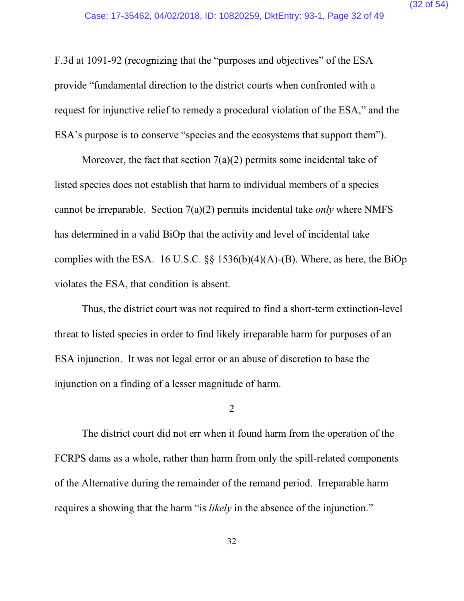F.3d at 1091-92 (recognizing that the "purposes and objectives" of the ESA provide "fundamental direction to the district courts when confronted with a request for injunctive relief to remedy a procedural violation of the ESA," and the ESA's purpose is to conserve "species and the ecosystems that support them").

Moreover, the fact that section  $7(a)(2)$  permits some incidental take of listed species does not establish that harm to individual members of a species cannot be irreparable. Section 7(a)(2) permits incidental take *only* where NMFS has determined in a valid BiOp that the activity and level of incidental take complies with the ESA. 16 U.S.C.  $\S$   $\S$  1536(b)(4)(A)-(B). Where, as here, the BiOp violates the ESA, that condition is absent.

Thus, the district court was not required to find a short-term extinction-level threat to listed species in order to find likely irreparable harm for purposes of an ESA injunction. It was not legal error or an abuse of discretion to base the injunction on a finding of a lesser magnitude of harm.

2

The district court did not err when it found harm from the operation of the FCRPS dams as a whole, rather than harm from only the spill-related components of the Alternative during the remainder of the remand period. Irreparable harm requires a showing that the harm "is *likely* in the absence of the injunction."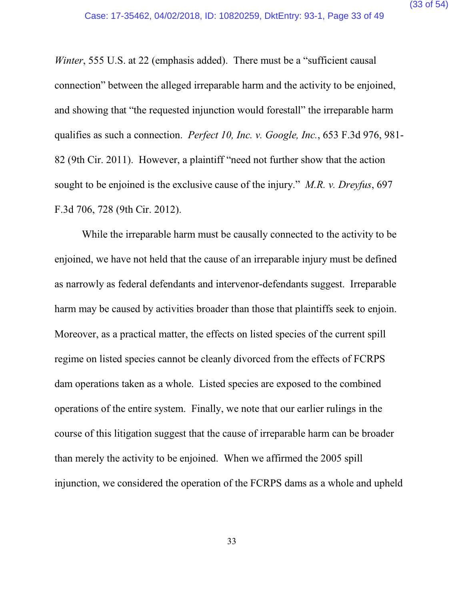*Winter*, 555 U.S. at 22 (emphasis added). There must be a "sufficient causal connection" between the alleged irreparable harm and the activity to be enjoined, and showing that "the requested injunction would forestall" the irreparable harm qualifies as such a connection. *Perfect 10, Inc. v. Google, Inc.*, 653 F.3d 976, 981- 82 (9th Cir. 2011). However, a plaintiff "need not further show that the action sought to be enjoined is the exclusive cause of the injury." *M.R. v. Dreyfus*, 697 F.3d 706, 728 (9th Cir. 2012).

While the irreparable harm must be causally connected to the activity to be enjoined, we have not held that the cause of an irreparable injury must be defined as narrowly as federal defendants and intervenor-defendants suggest. Irreparable harm may be caused by activities broader than those that plaintiffs seek to enjoin. Moreover, as a practical matter, the effects on listed species of the current spill regime on listed species cannot be cleanly divorced from the effects of FCRPS dam operations taken as a whole. Listed species are exposed to the combined operations of the entire system. Finally, we note that our earlier rulings in the course of this litigation suggest that the cause of irreparable harm can be broader than merely the activity to be enjoined. When we affirmed the 2005 spill injunction, we considered the operation of the FCRPS dams as a whole and upheld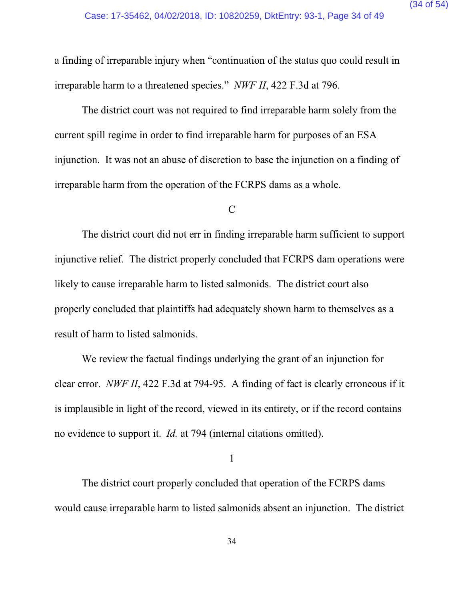a finding of irreparable injury when "continuation of the status quo could result in irreparable harm to a threatened species." *NWF II*, 422 F.3d at 796.

The district court was not required to find irreparable harm solely from the current spill regime in order to find irreparable harm for purposes of an ESA injunction. It was not an abuse of discretion to base the injunction on a finding of irreparable harm from the operation of the FCRPS dams as a whole.

C

The district court did not err in finding irreparable harm sufficient to support injunctive relief. The district properly concluded that FCRPS dam operations were likely to cause irreparable harm to listed salmonids. The district court also properly concluded that plaintiffs had adequately shown harm to themselves as a result of harm to listed salmonids.

We review the factual findings underlying the grant of an injunction for clear error. *NWF II*, 422 F.3d at 794-95. A finding of fact is clearly erroneous if it is implausible in light of the record, viewed in its entirety, or if the record contains no evidence to support it. *Id.* at 794 (internal citations omitted).

1

The district court properly concluded that operation of the FCRPS dams would cause irreparable harm to listed salmonids absent an injunction. The district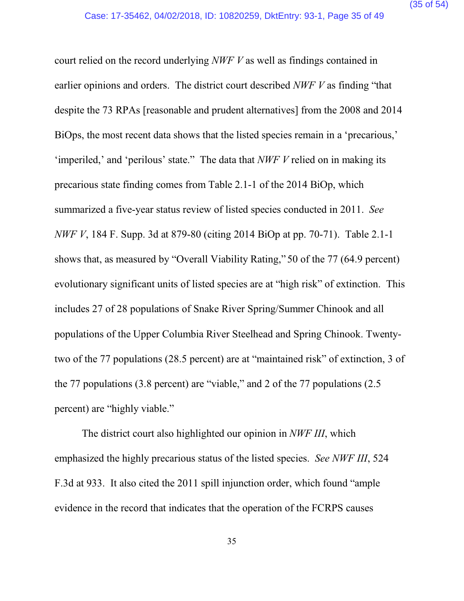court relied on the record underlying *NWF V* as well as findings contained in earlier opinions and orders. The district court described *NWF V* as finding "that despite the 73 RPAs [reasonable and prudent alternatives] from the 2008 and 2014 BiOps, the most recent data shows that the listed species remain in a 'precarious,' 'imperiled,' and 'perilous' state." The data that *NWF V* relied on in making its precarious state finding comes from Table 2.1-1 of the 2014 BiOp, which summarized a five-year status review of listed species conducted in 2011. *See NWF V*, 184 F. Supp. 3d at 879-80 (citing 2014 BiOp at pp. 70-71). Table 2.1-1 shows that, as measured by "Overall Viability Rating," 50 of the 77 (64.9 percent) evolutionary significant units of listed species are at "high risk" of extinction. This includes 27 of 28 populations of Snake River Spring/Summer Chinook and all populations of the Upper Columbia River Steelhead and Spring Chinook. Twentytwo of the 77 populations (28.5 percent) are at "maintained risk" of extinction, 3 of the 77 populations (3.8 percent) are "viable," and 2 of the 77 populations (2.5 percent) are "highly viable."

The district court also highlighted our opinion in *NWF III*, which emphasized the highly precarious status of the listed species. *See NWF III*, 524 F.3d at 933. It also cited the 2011 spill injunction order, which found "ample evidence in the record that indicates that the operation of the FCRPS causes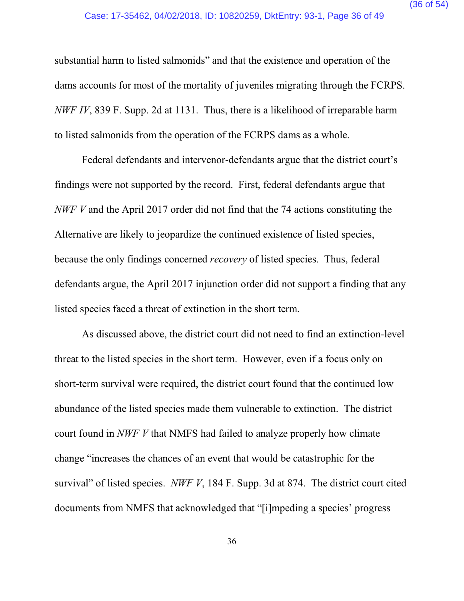substantial harm to listed salmonids" and that the existence and operation of the dams accounts for most of the mortality of juveniles migrating through the FCRPS. *NWF IV*, 839 F. Supp. 2d at 1131. Thus, there is a likelihood of irreparable harm to listed salmonids from the operation of the FCRPS dams as a whole.

Federal defendants and intervenor-defendants argue that the district court's findings were not supported by the record. First, federal defendants argue that *NWF V* and the April 2017 order did not find that the 74 actions constituting the Alternative are likely to jeopardize the continued existence of listed species, because the only findings concerned *recovery* of listed species. Thus, federal defendants argue, the April 2017 injunction order did not support a finding that any listed species faced a threat of extinction in the short term.

As discussed above, the district court did not need to find an extinction-level threat to the listed species in the short term. However, even if a focus only on short-term survival were required, the district court found that the continued low abundance of the listed species made them vulnerable to extinction. The district court found in *NWF V* that NMFS had failed to analyze properly how climate change "increases the chances of an event that would be catastrophic for the survival" of listed species. *NWF V*, 184 F. Supp. 3d at 874. The district court cited documents from NMFS that acknowledged that "[i]mpeding a species' progress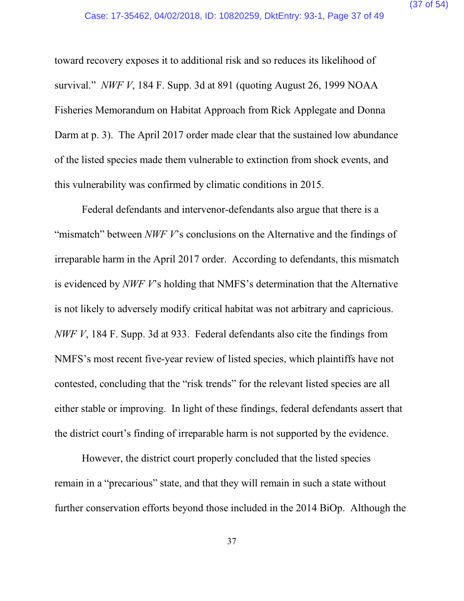toward recovery exposes it to additional risk and so reduces its likelihood of survival." *NWF V*, 184 F. Supp. 3d at 891 (quoting August 26, 1999 NOAA Fisheries Memorandum on Habitat Approach from Rick Applegate and Donna Darm at p. 3). The April 2017 order made clear that the sustained low abundance of the listed species made them vulnerable to extinction from shock events, and this vulnerability was confirmed by climatic conditions in 2015.

Federal defendants and intervenor-defendants also argue that there is a "mismatch" between *NWF V*'s conclusions on the Alternative and the findings of irreparable harm in the April 2017 order.According to defendants, this mismatch is evidenced by *NWF V*'s holding that NMFS's determination that the Alternative is not likely to adversely modify critical habitat was not arbitrary and capricious. *NWF V*, 184 F. Supp. 3d at 933. Federal defendants also cite the findings from NMFS's most recent five-year review of listed species, which plaintiffs have not contested, concluding that the "risk trends" for the relevant listed species are all either stable or improving. In light of these findings, federal defendants assert that the district court's finding of irreparable harm is not supported by the evidence.

However, the district court properly concluded that the listed species remain in a "precarious" state, and that they will remain in such a state without further conservation efforts beyond those included in the 2014 BiOp. Although the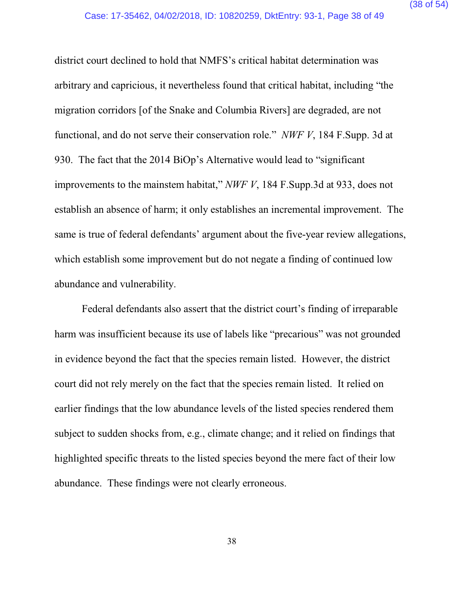district court declined to hold that NMFS's critical habitat determination was arbitrary and capricious, it nevertheless found that critical habitat, including "the migration corridors [of the Snake and Columbia Rivers] are degraded, are not functional, and do not serve their conservation role." *NWF V*, 184 F.Supp. 3d at 930. The fact that the 2014 BiOp's Alternative would lead to "significant improvements to the mainstem habitat," *NWF V*, 184 F.Supp.3d at 933, does not establish an absence of harm; it only establishes an incremental improvement. The same is true of federal defendants' argument about the five-year review allegations, which establish some improvement but do not negate a finding of continued low abundance and vulnerability.

Federal defendants also assert that the district court's finding of irreparable harm was insufficient because its use of labels like "precarious" was not grounded in evidence beyond the fact that the species remain listed. However, the district court did not rely merely on the fact that the species remain listed. It relied on earlier findings that the low abundance levels of the listed species rendered them subject to sudden shocks from, e.g., climate change; and it relied on findings that highlighted specific threats to the listed species beyond the mere fact of their low abundance. These findings were not clearly erroneous.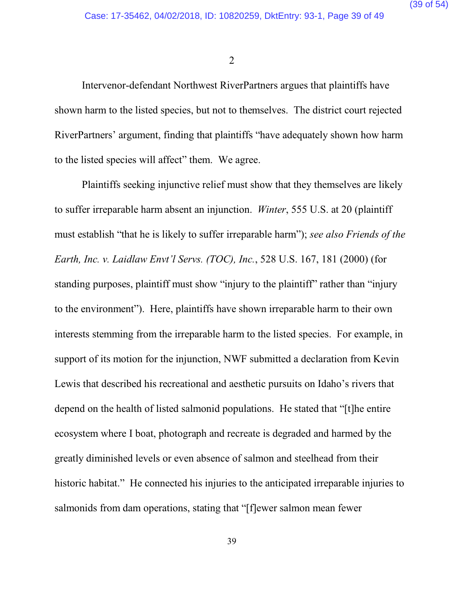2

Intervenor-defendant Northwest RiverPartners argues that plaintiffs have shown harm to the listed species, but not to themselves. The district court rejected RiverPartners' argument, finding that plaintiffs "have adequately shown how harm to the listed species will affect" them. We agree.

Plaintiffs seeking injunctive relief must show that they themselves are likely to suffer irreparable harm absent an injunction. *Winter*, 555 U.S. at 20 (plaintiff must establish "that he is likely to suffer irreparable harm"); *see also Friends of the Earth, Inc. v. Laidlaw Envt'l Servs. (TOC), Inc.*, 528 U.S. 167, 181 (2000) (for standing purposes, plaintiff must show "injury to the plaintiff" rather than "injury to the environment"). Here, plaintiffs have shown irreparable harm to their own interests stemming from the irreparable harm to the listed species. For example, in support of its motion for the injunction, NWF submitted a declaration from Kevin Lewis that described his recreational and aesthetic pursuits on Idaho's rivers that depend on the health of listed salmonid populations. He stated that "[t]he entire ecosystem where I boat, photograph and recreate is degraded and harmed by the greatly diminished levels or even absence of salmon and steelhead from their historic habitat." He connected his injuries to the anticipated irreparable injuries to salmonids from dam operations, stating that "[f]ewer salmon mean fewer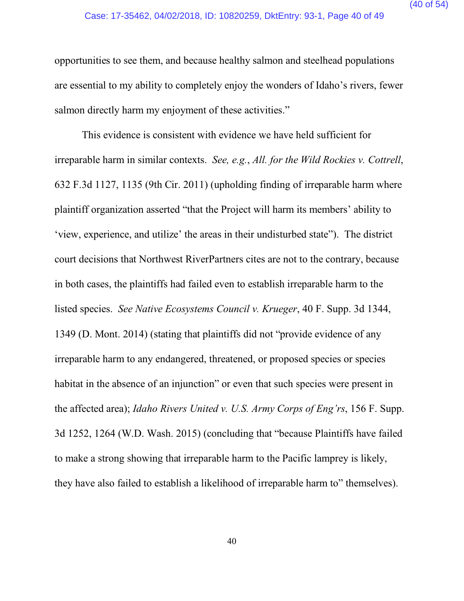opportunities to see them, and because healthy salmon and steelhead populations are essential to my ability to completely enjoy the wonders of Idaho's rivers, fewer salmon directly harm my enjoyment of these activities."

This evidence is consistent with evidence we have held sufficient for irreparable harm in similar contexts. *See, e.g.*, *All. for the Wild Rockies v. Cottrell*, 632 F.3d 1127, 1135 (9th Cir. 2011) (upholding finding of irreparable harm where plaintiff organization asserted "that the Project will harm its members' ability to 'view, experience, and utilize' the areas in their undisturbed state"). The district court decisions that Northwest RiverPartners cites are not to the contrary, because in both cases, the plaintiffs had failed even to establish irreparable harm to the listed species. *See Native Ecosystems Council v. Krueger*, 40 F. Supp. 3d 1344, 1349 (D. Mont. 2014) (stating that plaintiffs did not "provide evidence of any irreparable harm to any endangered, threatened, or proposed species or species habitat in the absence of an injunction" or even that such species were present in the affected area); *Idaho Rivers United v. U.S. Army Corps of Eng'rs*, 156 F. Supp. 3d 1252, 1264 (W.D. Wash. 2015) (concluding that "because Plaintiffs have failed to make a strong showing that irreparable harm to the Pacific lamprey is likely, they have also failed to establish a likelihood of irreparable harm to" themselves).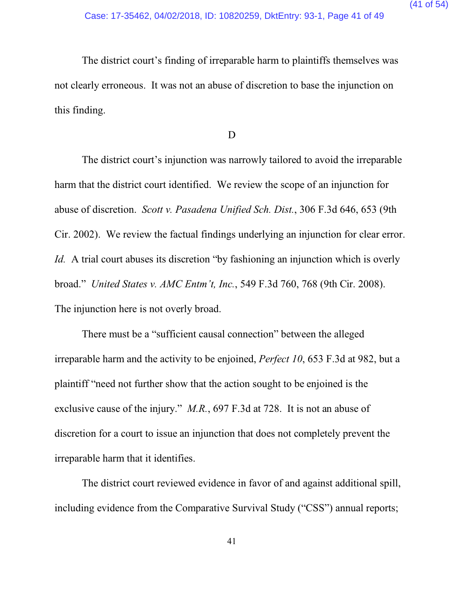The district court's finding of irreparable harm to plaintiffs themselves was not clearly erroneous. It was not an abuse of discretion to base the injunction on this finding.

D

The district court's injunction was narrowly tailored to avoid the irreparable harm that the district court identified. We review the scope of an injunction for abuse of discretion. *Scott v. Pasadena Unified Sch. Dist.*, 306 F.3d 646, 653 (9th Cir. 2002). We review the factual findings underlying an injunction for clear error. *Id.* A trial court abuses its discretion "by fashioning an injunction which is overly broad." *United States v. AMC Entm't, Inc.*, 549 F.3d 760, 768 (9th Cir. 2008). The injunction here is not overly broad.

There must be a "sufficient causal connection" between the alleged irreparable harm and the activity to be enjoined, *Perfect 10*, 653 F.3d at 982, but a plaintiff "need not further show that the action sought to be enjoined is the exclusive cause of the injury." *M.R.*, 697 F.3d at 728. It is not an abuse of discretion for a court to issue an injunction that does not completely prevent the irreparable harm that it identifies.

The district court reviewed evidence in favor of and against additional spill, including evidence from the Comparative Survival Study ("CSS") annual reports;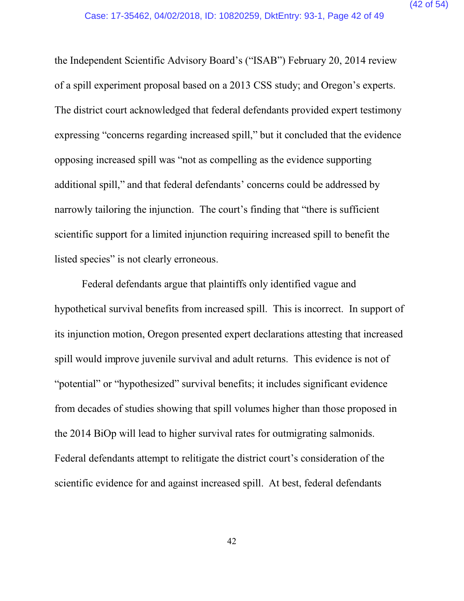the Independent Scientific Advisory Board's ("ISAB") February 20, 2014 review of a spill experiment proposal based on a 2013 CSS study; and Oregon's experts. The district court acknowledged that federal defendants provided expert testimony expressing "concerns regarding increased spill," but it concluded that the evidence opposing increased spill was "not as compelling as the evidence supporting additional spill," and that federal defendants' concerns could be addressed by narrowly tailoring the injunction. The court's finding that "there is sufficient scientific support for a limited injunction requiring increased spill to benefit the listed species" is not clearly erroneous.

Federal defendants argue that plaintiffs only identified vague and hypothetical survival benefits from increased spill. This is incorrect. In support of its injunction motion, Oregon presented expert declarations attesting that increased spill would improve juvenile survival and adult returns. This evidence is not of "potential" or "hypothesized" survival benefits; it includes significant evidence from decades of studies showing that spill volumes higher than those proposed in the 2014 BiOp will lead to higher survival rates for outmigrating salmonids. Federal defendants attempt to relitigate the district court's consideration of the scientific evidence for and against increased spill. At best, federal defendants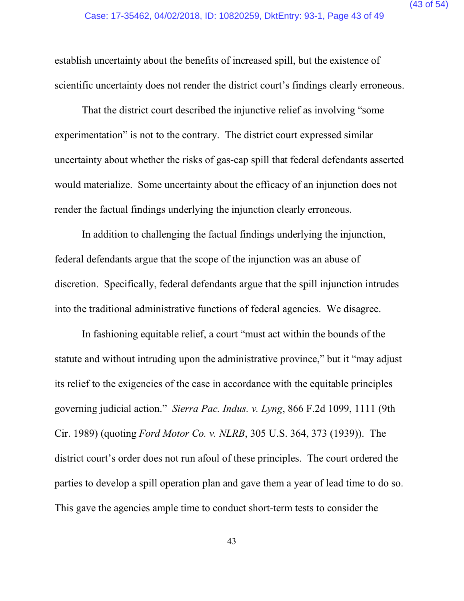establish uncertainty about the benefits of increased spill, but the existence of scientific uncertainty does not render the district court's findings clearly erroneous.

That the district court described the injunctive relief as involving "some experimentation" is not to the contrary. The district court expressed similar uncertainty about whether the risks of gas-cap spill that federal defendants asserted would materialize. Some uncertainty about the efficacy of an injunction does not render the factual findings underlying the injunction clearly erroneous.

In addition to challenging the factual findings underlying the injunction, federal defendants argue that the scope of the injunction was an abuse of discretion. Specifically, federal defendants argue that the spill injunction intrudes into the traditional administrative functions of federal agencies. We disagree.

In fashioning equitable relief, a court "must act within the bounds of the statute and without intruding upon the administrative province," but it "may adjust its relief to the exigencies of the case in accordance with the equitable principles governing judicial action." *Sierra Pac. Indus. v. Lyng*, 866 F.2d 1099, 1111 (9th Cir. 1989) (quoting *Ford Motor Co. v. NLRB*, 305 U.S. 364, 373 (1939)). The district court's order does not run afoul of these principles. The court ordered the parties to develop a spill operation plan and gave them a year of lead time to do so. This gave the agencies ample time to conduct short-term tests to consider the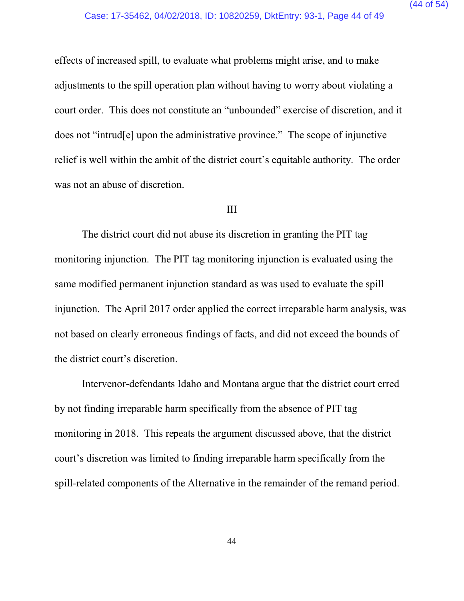effects of increased spill, to evaluate what problems might arise, and to make adjustments to the spill operation plan without having to worry about violating a court order. This does not constitute an "unbounded" exercise of discretion, and it does not "intrud[e] upon the administrative province." The scope of injunctive relief is well within the ambit of the district court's equitable authority. The order was not an abuse of discretion.

### III

The district court did not abuse its discretion in granting the PIT tag monitoring injunction. The PIT tag monitoring injunction is evaluated using the same modified permanent injunction standard as was used to evaluate the spill injunction. The April 2017 order applied the correct irreparable harm analysis, was not based on clearly erroneous findings of facts, and did not exceed the bounds of the district court's discretion.

Intervenor-defendants Idaho and Montana argue that the district court erred by not finding irreparable harm specifically from the absence of PIT tag monitoring in 2018. This repeats the argument discussed above, that the district court's discretion was limited to finding irreparable harm specifically from the spill-related components of the Alternative in the remainder of the remand period.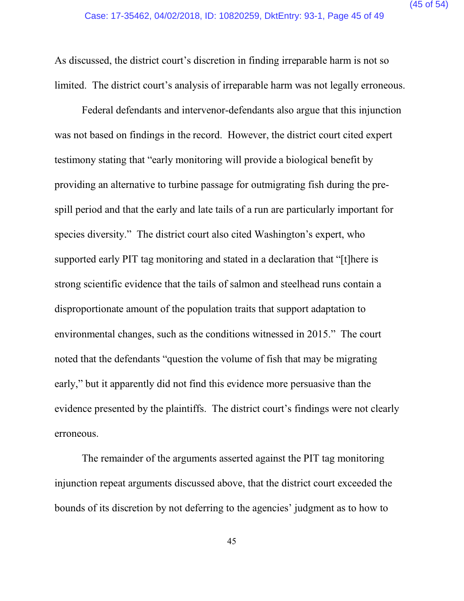As discussed, the district court's discretion in finding irreparable harm is not so limited. The district court's analysis of irreparable harm was not legally erroneous.

Federal defendants and intervenor-defendants also argue that this injunction was not based on findings in the record. However, the district court cited expert testimony stating that "early monitoring will provide a biological benefit by providing an alternative to turbine passage for outmigrating fish during the prespill period and that the early and late tails of a run are particularly important for species diversity." The district court also cited Washington's expert, who supported early PIT tag monitoring and stated in a declaration that "[t]here is strong scientific evidence that the tails of salmon and steelhead runs contain a disproportionate amount of the population traits that support adaptation to environmental changes, such as the conditions witnessed in 2015." The court noted that the defendants "question the volume of fish that may be migrating early," but it apparently did not find this evidence more persuasive than the evidence presented by the plaintiffs. The district court's findings were not clearly erroneous.

The remainder of the arguments asserted against the PIT tag monitoring injunction repeat arguments discussed above, that the district court exceeded the bounds of its discretion by not deferring to the agencies' judgment as to how to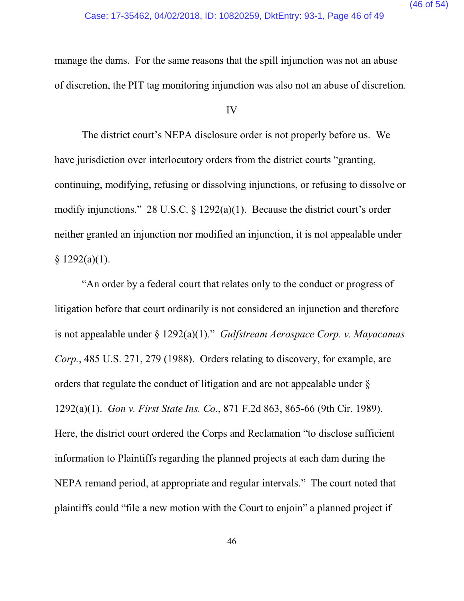manage the dams. For the same reasons that the spill injunction was not an abuse of discretion, the PIT tag monitoring injunction was also not an abuse of discretion.

#### IV

The district court's NEPA disclosure order is not properly before us. We have jurisdiction over interlocutory orders from the district courts "granting, continuing, modifying, refusing or dissolving injunctions, or refusing to dissolve or modify injunctions." 28 U.S.C. § 1292(a)(1). Because the district court's order neither granted an injunction nor modified an injunction, it is not appealable under  $$1292(a)(1).$ 

"An order by a federal court that relates only to the conduct or progress of litigation before that court ordinarily is not considered an injunction and therefore is not appealable under § 1292(a)(1)." *Gulfstream Aerospace Corp. v. Mayacamas Corp.*, 485 U.S. 271, 279 (1988). Orders relating to discovery, for example, are orders that regulate the conduct of litigation and are not appealable under § 1292(a)(1). *Gon v. First State Ins. Co.*, 871 F.2d 863, 865-66 (9th Cir. 1989). Here, the district court ordered the Corps and Reclamation "to disclose sufficient information to Plaintiffs regarding the planned projects at each dam during the NEPA remand period, at appropriate and regular intervals." The court noted that plaintiffs could "file a new motion with the Court to enjoin" a planned project if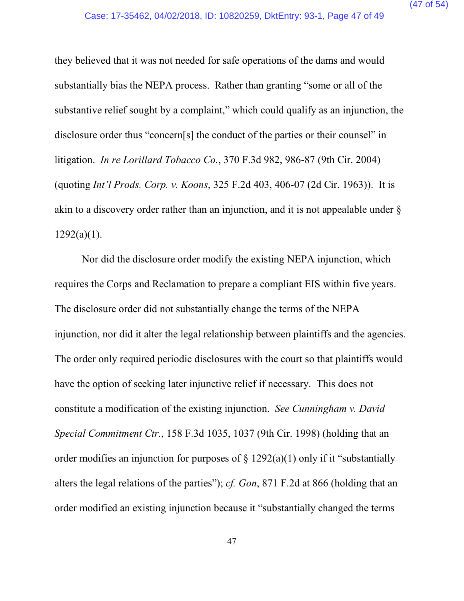they believed that it was not needed for safe operations of the dams and would substantially bias the NEPA process. Rather than granting "some or all of the substantive relief sought by a complaint," which could qualify as an injunction, the disclosure order thus "concern[s] the conduct of the parties or their counsel" in litigation. *In re Lorillard Tobacco Co.*, 370 F.3d 982, 986-87 (9th Cir. 2004) (quoting *Int'l Prods. Corp. v. Koons*, 325 F.2d 403, 406-07 (2d Cir. 1963)). It is akin to a discovery order rather than an injunction, and it is not appealable under §  $1292(a)(1)$ .

Nor did the disclosure order modify the existing NEPA injunction, which requires the Corps and Reclamation to prepare a compliant EIS within five years. The disclosure order did not substantially change the terms of the NEPA injunction, nor did it alter the legal relationship between plaintiffs and the agencies. The order only required periodic disclosures with the court so that plaintiffs would have the option of seeking later injunctive relief if necessary. This does not constitute a modification of the existing injunction. *See Cunningham v. David Special Commitment Ctr.*, 158 F.3d 1035, 1037 (9th Cir. 1998) (holding that an order modifies an injunction for purposes of  $\S$  1292(a)(1) only if it "substantially alters the legal relations of the parties"); *cf. Gon*, 871 F.2d at 866 (holding that an order modified an existing injunction because it "substantially changed the terms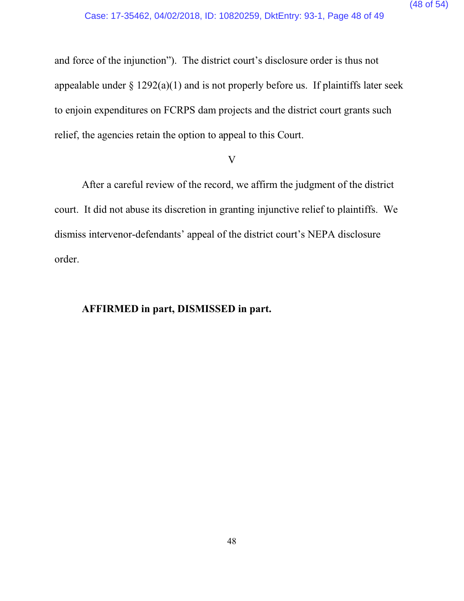and force of the injunction"). The district court's disclosure order is thus not appealable under  $\S$  1292(a)(1) and is not properly before us. If plaintiffs later seek to enjoin expenditures on FCRPS dam projects and the district court grants such relief, the agencies retain the option to appeal to this Court.

#### V

After a careful review of the record, we affirm the judgment of the district court. It did not abuse its discretion in granting injunctive relief to plaintiffs. We dismiss intervenor-defendants' appeal of the district court's NEPA disclosure order.

## **AFFIRMED in part, DISMISSED in part.**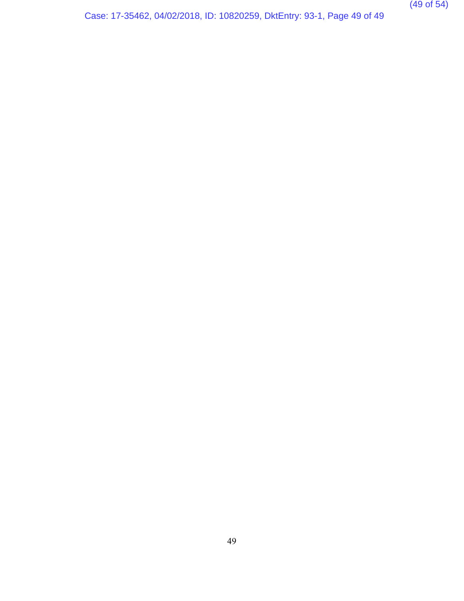### (49 of 54)

Case: 17-35462, 04/02/2018, ID: 10820259, DktEntry: 93-1, Page 49 of 49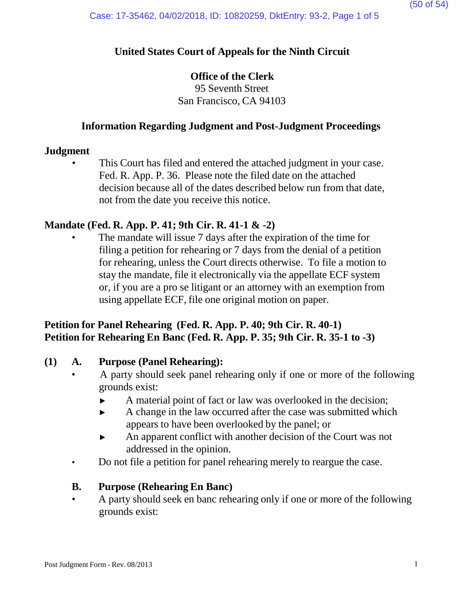# **United States Court of Appeals for the Ninth Circuit**

# **Office of the Clerk**

95 Seventh Street San Francisco, CA 94103

# **Information Regarding Judgment and Post-Judgment Proceedings**

## **Judgment**

This Court has filed and entered the attached judgment in your case. Fed. R. App. P. 36. Please note the filed date on the attached decision because all of the dates described below run from that date, not from the date you receive this notice.

# **Mandate (Fed. R. App. P. 41; 9th Cir. R. 41-1 & -2)**

The mandate will issue 7 days after the expiration of the time for filing a petition for rehearing or 7 days from the denial of a petition for rehearing, unless the Court directs otherwise. To file a motion to stay the mandate, file it electronically via the appellate ECF system or, if you are a pro se litigant or an attorney with an exemption from using appellate ECF, file one original motion on paper.

# **Petition for Panel Rehearing (Fed. R. App. P. 40; 9th Cir. R. 40-1) Petition for Rehearing En Banc (Fed. R. App. P. 35; 9th Cir. R. 35-1 to -3)**

# **(1) A. Purpose (Panel Rehearing):**

- A party should seek panel rehearing only if one or more of the following grounds exist:
	- ► A material point of fact or law was overlooked in the decision;
	- ► A change in the law occurred after the case was submitted which appears to have been overlooked by the panel; or
	- ► An apparent conflict with another decision of the Court was not addressed in the opinion.
- Do not file a petition for panel rehearing merely to reargue the case.

# **B. Purpose (Rehearing En Banc)**

• A party should seek en banc rehearing only if one or more of the following grounds exist: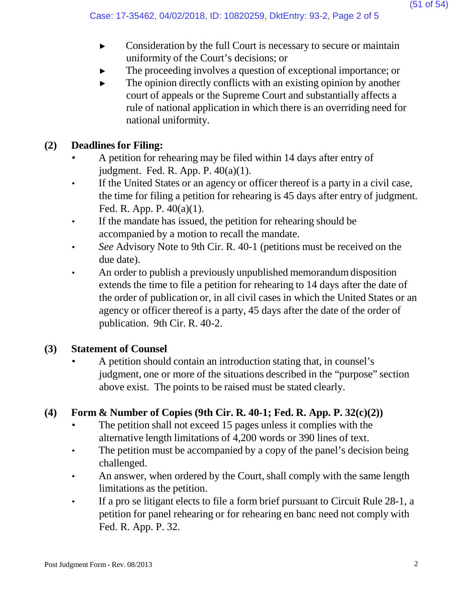- ► Consideration by the full Court is necessary to secure or maintain uniformity of the Court's decisions; or
- The proceeding involves a question of exceptional importance; or
- $\blacktriangleright$  The opinion directly conflicts with an existing opinion by another court of appeals or the Supreme Court and substantially affects a rule of national application in which there is an overriding need for national uniformity.

# **(2) Deadlines for Filing:**

- A petition for rehearing may be filed within 14 days after entry of judgment. Fed. R. App. P. 40(a)(1).
- If the United States or an agency or officer thereof is a party in a civil case, the time for filing a petition for rehearing is 45 days after entry of judgment. Fed. R. App. P. 40(a)(1).
- If the mandate has issued, the petition for rehearing should be accompanied by a motion to recall the mandate.
- *See* Advisory Note to 9th Cir. R. 40-1 (petitions must be received on the due date).
- An order to publish a previously unpublished memorandum disposition extends the time to file a petition for rehearing to 14 days after the date of the order of publication or, in all civil cases in which the United States or an agency or officer thereof is a party, 45 days after the date of the order of publication. 9th Cir. R. 40-2.

# **(3) Statement of Counsel**

• A petition should contain an introduction stating that, in counsel's judgment, one or more of the situations described in the "purpose" section above exist. The points to be raised must be stated clearly.

# **(4) Form & Number of Copies (9th Cir. R. 40-1; Fed. R. App. P. 32(c)(2))**

- The petition shall not exceed 15 pages unless it complies with the alternative length limitations of 4,200 words or 390 lines of text.
- The petition must be accompanied by a copy of the panel's decision being challenged.
- An answer, when ordered by the Court, shall comply with the same length limitations as the petition.
- If a pro se litigant elects to file a form brief pursuant to Circuit Rule 28-1, a petition for panel rehearing or for rehearing en banc need not comply with Fed. R. App. P. 32.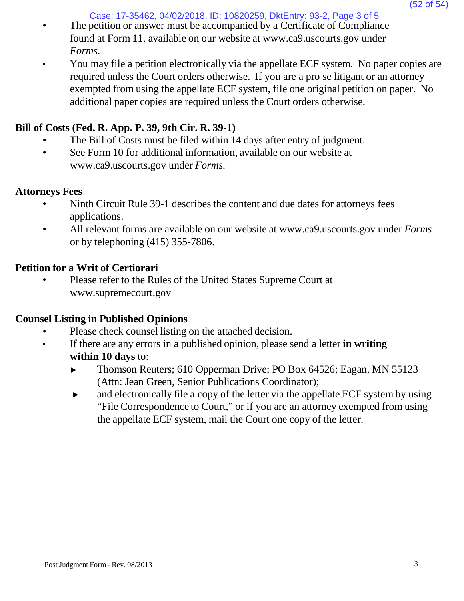Case: 17-35462, 04/02/2018, ID: 10820259, DktEntry: 93-2, Page 3 of 5

- The petition or answer must be accompanied by a Certificate of Compliance found at Form 11, available on our website [at www.ca9.uscourts.gov](http://www.ca9.uscourts.gov/) under *Forms.*
- You may file a petition electronically via the appellate ECF system. No paper copies are required unless the Court orders otherwise. If you are a pro se litigant or an attorney exempted from using the appellate ECF system, file one original petition on paper. No additional paper copies are required unless the Court orders otherwise.

# **Bill of Costs (Fed. R. App. P. 39, 9th Cir. R. 39-1)**

- The Bill of Costs must be filed within 14 days after entry of judgment.
- See Form 10 for addi[t](http://www.ca9.uscourts.gov/)ional information, available on our website at [www.ca9.uscourts.gov](http://www.ca9.uscourts.gov/) under *Forms.*

# **Attorneys Fees**

- Ninth Circuit Rule 39-1 describes the content and due dates for attorneys fees applications.
- All relevant forms are available on our website at [www.ca9.uscourts.gov](http://www.ca9.uscourts.gov/) under *Forms* or by telephoning (415) 355-7806.

# **Petition for a Writ of Certiorari**

• Please refer to the Rules of the United States Supreme Court a[t](http://www.supremecourt.gov/) [www.supremecourt.gov](http://www.supremecourt.gov/)

# **Counsel Listing in Published Opinions**

- Please check counsel listing on the attached decision.
- If there are any errors in a published opinion, please send a letter **in writing within 10 days** to:
	- ► Thomson Reuters; 610 Opperman Drive; PO Box 64526; Eagan, MN 55123 (Attn: Jean Green, Senior Publications Coordinator);
	- ► and electronically file a copy of the letter via the appellate ECF system by using "File Correspondence to Court," or if you are an attorney exempted from using the appellate ECF system, mail the Court one copy of the letter.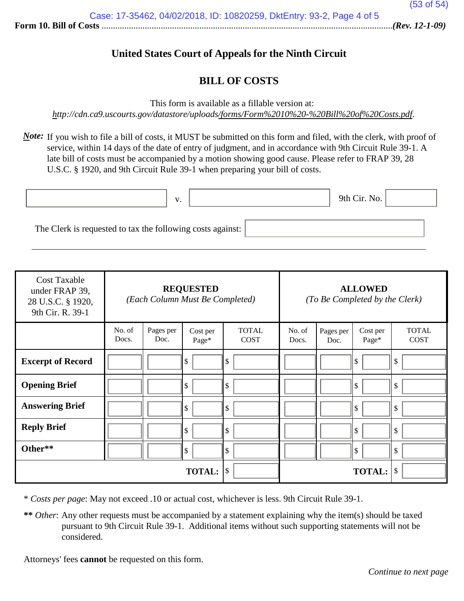# **United States Court of Appeals for the Ninth Circuit**

## **BILL OF COSTS**

This form is available as a fillable version at:

*<http://cdn.ca9.uscourts.gov/datastore/uploads/forms/Form%2010%20-%20Bill%20of%20Costs.pdf>*.

*Note*: If you wish to file a bill of costs, it MUST be submitted on this form and filed, with the clerk, with proof of service, within 14 days of the date of entry of judgment, and in accordance with 9th Circuit Rule 39-1. A late bill of costs must be accompanied by a motion showing good cause. Please refer to FRAP 39, 28 U.S.C. § 1920, and 9th Circuit Rule 39-1 when preparing your bill of costs.

|                                                            | $\mathbf{V}$ |  | 9th Cir. No. |  |
|------------------------------------------------------------|--------------|--|--------------|--|
|                                                            |              |  |              |  |
| The Clerk is requested to tax the following costs against: |              |  |              |  |

| <b>Cost Taxable</b><br>under FRAP 39,<br>28 U.S.C. § 1920,<br>9th Cir. R. 39-1 | <b>REQUESTED</b><br>(Each Column Must Be Completed) |                   |                   | <b>ALLOWED</b><br>(To Be Completed by the Clerk) |                 |                   |                   |                             |
|--------------------------------------------------------------------------------|-----------------------------------------------------|-------------------|-------------------|--------------------------------------------------|-----------------|-------------------|-------------------|-----------------------------|
|                                                                                | No. of<br>Docs.                                     | Pages per<br>Doc. | Cost per<br>Page* | <b>TOTAL</b><br><b>COST</b>                      | No. of<br>Docs. | Pages per<br>Doc. | Cost per<br>Page* | <b>TOTAL</b><br><b>COST</b> |
| <b>Excerpt of Record</b>                                                       |                                                     |                   | $\mathcal{S}$     | \$                                               |                 |                   | ll \$             | \$                          |
| <b>Opening Brief</b>                                                           |                                                     |                   | \$                | \$                                               |                 |                   | l \$              | \$                          |
| <b>Answering Brief</b>                                                         |                                                     |                   | \$                | \$                                               |                 |                   | l \$              | \$                          |
| <b>Reply Brief</b>                                                             |                                                     |                   | \$                | $\sqrt{3}$                                       |                 |                   | ll \$             | \$                          |
| Other**                                                                        |                                                     |                   | \$                | $\mathcal{S}$                                    |                 |                   | ll \$             | \$                          |
|                                                                                |                                                     |                   | <b>TOTAL:</b>     | \$                                               |                 |                   | <b>TOTAL:</b>     | \$                          |

\* *Costs per page*: May not exceed .10 or actual cost, whichever is less. 9th Circuit Rule 39-1.

**\*\*** *Other*: Any other requests must be accompanied by a statement explaining why the item(s) should be taxed pursuant to 9th Circuit Rule 39-1. Additional items without such supporting statements will not be considered.

Attorneys' fees **cannot** be requested on this form.